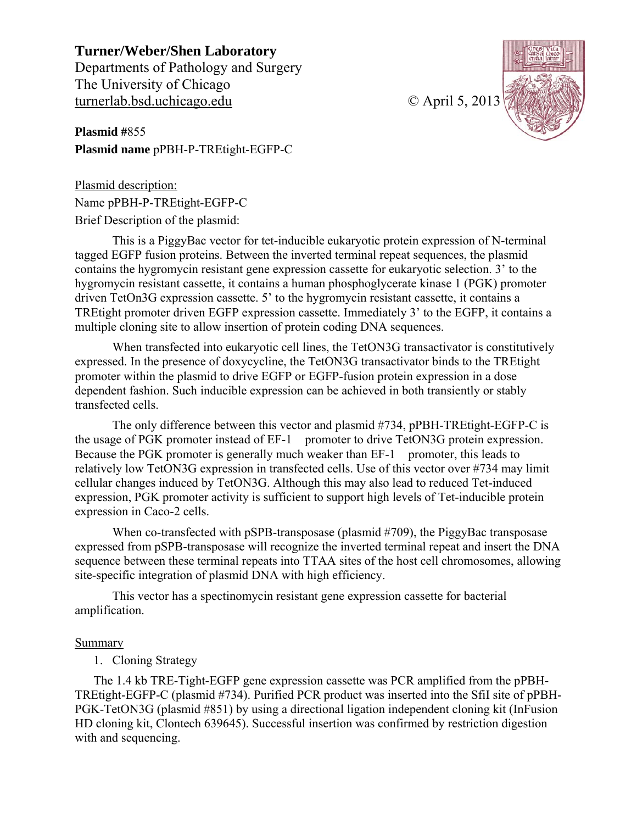**Turner/Weber/Shen Laboratory**  Departments of Pathology and Surgery The University of Chicago turnerlab.bsd.uchicago.edu © April 5, 2013

**Plasmid #**855 **Plasmid name** pPBH-P-TREtight-EGFP-C



Plasmid description: Name pPBH-P-TREtight-EGFP-C Brief Description of the plasmid:

This is a PiggyBac vector for tet-inducible eukaryotic protein expression of N-terminal tagged EGFP fusion proteins. Between the inverted terminal repeat sequences, the plasmid contains the hygromycin resistant gene expression cassette for eukaryotic selection. 3' to the hygromycin resistant cassette, it contains a human phosphoglycerate kinase 1 (PGK) promoter driven TetOn3G expression cassette. 5' to the hygromycin resistant cassette, it contains a TREtight promoter driven EGFP expression cassette. Immediately 3' to the EGFP, it contains a multiple cloning site to allow insertion of protein coding DNA sequences.

When transfected into eukaryotic cell lines, the TetON3G transactivator is constitutively expressed. In the presence of doxycycline, the TetON3G transactivator binds to the TREtight promoter within the plasmid to drive EGFP or EGFP-fusion protein expression in a dose dependent fashion. Such inducible expression can be achieved in both transiently or stably transfected cells.

The only difference between this vector and plasmid #734, pPBH-TREtight-EGFP-C is the usage of PGK promoter instead of EF-1 promoter to drive TetON3G protein expression. Because the PGK promoter is generally much weaker than EF-1 promoter, this leads to relatively low TetON3G expression in transfected cells. Use of this vector over #734 may limit cellular changes induced by TetON3G. Although this may also lead to reduced Tet-induced expression, PGK promoter activity is sufficient to support high levels of Tet-inducible protein expression in Caco-2 cells.

When co-transfected with pSPB-transposase (plasmid #709), the PiggyBac transposase expressed from pSPB-transposase will recognize the inverted terminal repeat and insert the DNA sequence between these terminal repeats into TTAA sites of the host cell chromosomes, allowing site-specific integration of plasmid DNA with high efficiency.

This vector has a spectinomycin resistant gene expression cassette for bacterial amplification.

## **Summary**

## 1. Cloning Strategy

The 1.4 kb TRE-Tight-EGFP gene expression cassette was PCR amplified from the pPBH-TREtight-EGFP-C (plasmid #734). Purified PCR product was inserted into the SfiI site of pPBH-PGK-TetON3G (plasmid #851) by using a directional ligation independent cloning kit (InFusion HD cloning kit, Clontech 639645). Successful insertion was confirmed by restriction digestion with and sequencing.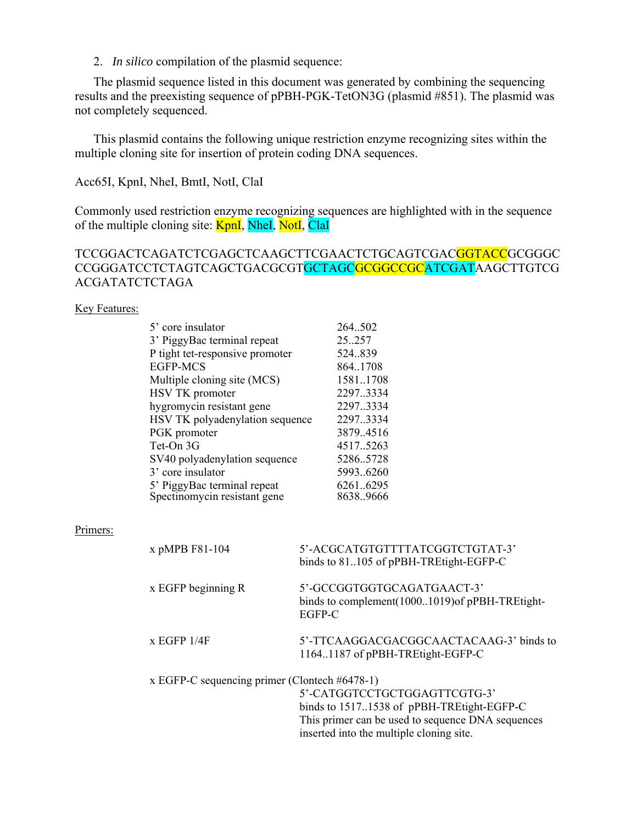2. *In silico* compilation of the plasmid sequence:

The plasmid sequence listed in this document was generated by combining the sequencing results and the preexisting sequence of pPBH-PGK-TetON3G (plasmid #851). The plasmid was not completely sequenced.

This plasmid contains the following unique restriction enzyme recognizing sites within the multiple cloning site for insertion of protein coding DNA sequences.

Acc65I, KpnI, NheI, BmtI, NotI, ClaI

Commonly used restriction enzyme recognizing sequences are highlighted with in the sequence of the multiple cloning site: **KpnI**, NheI, NotI, ClaI

## TCCGGACTCAGATCTCGAGCTCAAGCTTCGAACTCTGCAGTCGAC<mark>GGTACC</mark>GCGGGC CCGGGATCCTCTAGTCAGCTGACGCGTGCTAGCGCGGCCGCATCGATAAGCTTGTCG ACGATATCTCTAGA

### **Key Features:**

| 5' core insulator               | 264.502   |
|---------------------------------|-----------|
| 3' PiggyBac terminal repeat     | 25.257    |
| P tight tet-responsive promoter | 524.839   |
| <b>EGFP-MCS</b>                 | 864.1708  |
| Multiple cloning site (MCS)     | 15811708  |
| HSV TK promoter                 | 2297.3334 |
| hygromycin resistant gene       | 2297.3334 |
| HSV TK polyadenylation sequence | 2297.3334 |
| PGK promoter                    | 3879.4516 |
| Tet-On 3G                       | 4517.5263 |
| SV40 polyadenylation sequence   | 52865728  |
| 3' core insulator               | 59936260  |
| 5' PiggyBac terminal repeat     | 62616295  |
| Spectinomycin resistant gene    | 8638.9666 |

### Primers:

| x pMPB F81-104                                   | 5'-ACGCATGTGTTTTATCGGTCTGTAT-3'<br>binds to 81105 of pPBH-TREtight-EGFP-C               |
|--------------------------------------------------|-----------------------------------------------------------------------------------------|
| $x$ EGFP beginning R                             | 5'-GCCGGTGGTGCAGATGAACT-3'<br>binds to complement(10001019) of pPBH-TREtight-<br>EGFP-C |
| x EGFP 1/4F                                      | 5'-TTCAAGGACGACGGCAACTACAAG-3' binds to<br>1164.1187 of pPBH-TREtight-EGFP-C            |
| x EGFP-C sequencing primer (Clontech $#6478-1$ ) |                                                                                         |
|                                                  | 5'-CATGGTCCTGCTGGAGTTCGTG-3'                                                            |
|                                                  | binds to 15171538 of pPBH-TREtight-EGFP-C                                               |
|                                                  | This primer can be used to sequence DNA sequences                                       |
|                                                  | inserted into the multiple cloning site.                                                |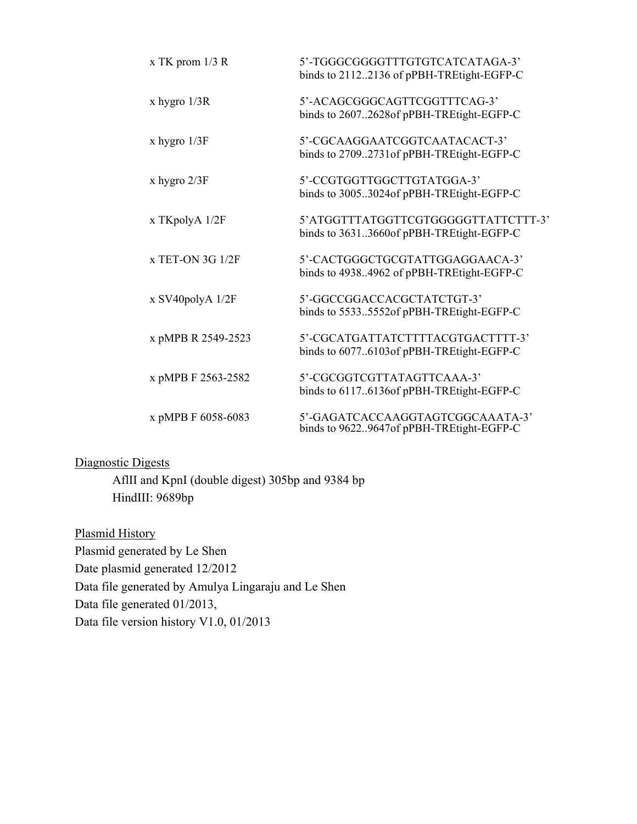| $x$ TK prom 1/3 R  | 5'-TGGGCGGGGTTTGTGTCATCATAGA-3'<br>binds to 21122136 of pPBH-TREtight-EGFP-C    |
|--------------------|---------------------------------------------------------------------------------|
| $x$ hygro $1/3R$   | 5'-ACAGCGGGCAGTTCGGTTTCAG-3'<br>binds to 26072628of pPBH-TREtight-EGFP-C        |
| x hygro $1/3F$     | 5'-CGCAAGGAATCGGTCAATACACT-3'<br>binds to 27092731 of pPBH-TREtight-EGFP-C      |
| x hygro $2/3F$     | 5'-CCGTGGTTGGCTTGTATGGA-3'<br>binds to 30053024of pPBH-TREtight-EGFP-C          |
| x TKpolyA 1/2F     | 5'ATGGTTTATGGTTCGTGGGGGTTATTCTTT-3'<br>binds to 36313660of pPBH-TREtight-EGFP-C |
| x TET-ON 3G 1/2F   | 5'-CACTGGGCTGCGTATTGGAGGAACA-3'<br>binds to 49384962 of pPBH-TREtight-EGFP-C    |
| x SV40polyA 1/2F   | 5'-GGCCGGACCACGCTATCTGT-3'<br>binds to 55335552of pPBH-TREtight-EGFP-C          |
| x pMPB R 2549-2523 | 5'-CGCATGATTATCTTTTACGTGACTTTT-3'<br>binds to 60776103of pPBH-TREtight-EGFP-C   |
| x pMPB F 2563-2582 | 5'-CGCGGTCGTTATAGTTCAAA-3'<br>binds to 61176136of pPBH-TREtight-EGFP-C          |
| x pMPB F 6058-6083 | 5'-GAGATCACCAAGGTAGTCGGCAAATA-3'<br>binds to 96229647of pPBH-TREtight-EGFP-C    |

## Diagnostic Digests

AflII and KpnI (double digest) 305bp and 9384 bp HindIII: 9689bp

Plasmid History Plasmid generated by Le Shen Date plasmid generated 12/2012 Data file generated by Amulya Lingaraju and Le Shen Data file generated 01/2013, Data file version history V1.0, 01/2013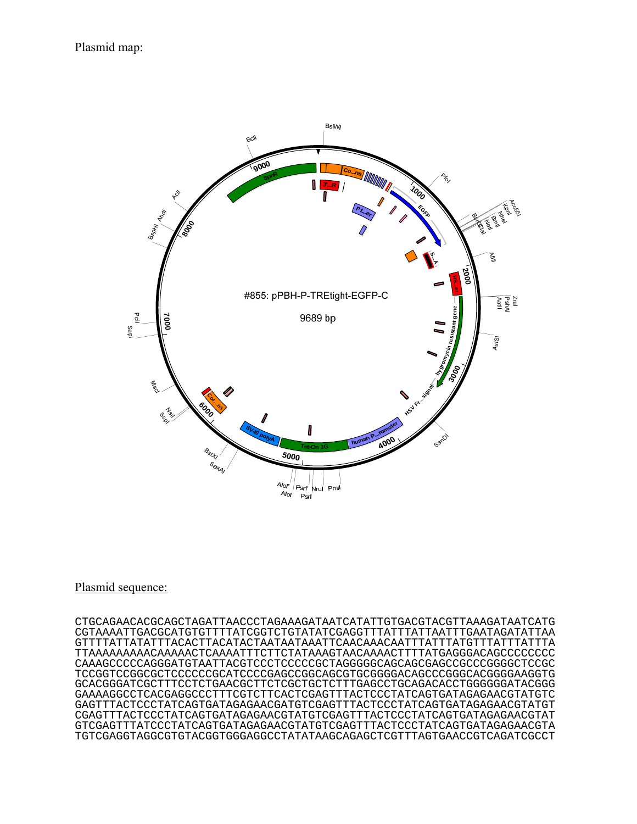

### Plasmid sequence:

CTGCAGAACACGCAGCTAGATTAACCCTAGAAAGATAATCATATTGTGACGTACGTTAAAGATAATCATG CGTAAAATTGACGCATGTGTTTTATCGGTCTGTATATCGAGGTTTATTTATTAATTTGAATAGATATTAA GTTTTATTATATTTACACTTACATACTAATAATAAATTCAACAAACAATTTATTTATGTTTATTTATTTA TTAAAAAAAAACAAAAACTCAAAATTTCTTCTATAAAGTAACAAAACTTTTATGAGGGACAGCCCCCCCC CAAAGCCCCCAGGGATGTAATTACGTCCCTCCCCCGCTAGGGGGCAGCAGCGAGCCGCCCGGGGCTCCGC TCCGGTCCGGCGCTCCCCCCGCATCCCCGAGCCGGCAGCGTGCGGGGACAGCCCGGGCACGGGGAAGGTG GCACGGGATCGCTTTCCTCTGAACGCTTCTCGCTGCTCTTTGAGCCTGCAGACACCTGGGGGGATACGGG GAAAAGGCCTCACGAGGCCCTTTCGTCTTCACTCGAGTTTACTCCCTATCAGTGATAGAGAACGTATGTC GAGTTTACTCCCTATCAGTGATAGAGAACGATGTCGAGTTTACTCCCTATCAGTGATAGAGAACGTATGT CGAGTTTACTCCCTATCAGTGATAGAGAACGTATGTCGAGTTTACTCCCTATCAGTGATAGAGAACGTAT GTCGAGTTTATCCCTATCAGTGATAGAGAACGTATGTCGAGTTTACTCCCTATCAGTGATAGAGAACGTA TGTCGAGGTAGGCGTGTACGGTGGGAGGCCTATATAAGCAGAGCTCGTTTAGTGAACCGTCAGATCGCCT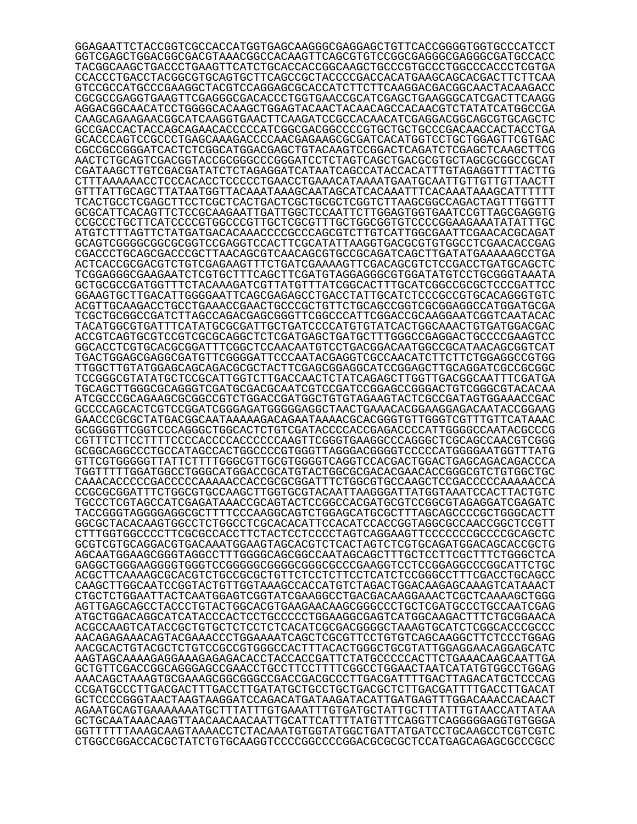GGAGAATTCTACCGGTCGCCACCATGGTGAGCAAGGGCGAGGAGCTGTTCACCGGGGTGGTGCCCATCCT GGTCGAGCTGGACGGCGACGTAAACGGCCACAAGTTCAGCGTGTCCGGCGAGGGCGAGGGCGATGCCACC TACGGCAAGCTGACCCTGAAGTTCATCTGCACCACCGGCAAGCTGCCCGTGCCCTGGCCCACCCTCGTGA CCACCCTGACCTACGGCGTGCAGTGCTTCAGCCGCTACCCCGACCACATGAAGCAGCACGACTTCTTCAA GTCCGCCATGCCCGAAGGCTACGTCCAGGAGCGCACCATCTTCTTCAAGGACGACGGCAACTACAAGACC CGCGCCGAGGTGAAGTTCGAGGGCGACACCCTGGTGAACCGCATCGAGCTGAAGGGCATCGACTTCAAGG AGGACGGCAACATCCTGGGGCACAAGCTGGAGTACAACTACAACAGCCACAACGTCTATATCATGGCCGA CAAGCAGAAGAACGGCATCAAGGTGAACTTCAAGATCCGCCACAACATCGAGGACGGCAGCGTGCAGCTC GCCGACCACTACCAGCAGAACACCCCCATCGGCGACGGCCCCGTGCTGCTGCCCGACAACCACTACCTGA GCACCCAGTCCGCCCTGAGCAAAGACCCCAACGAGAAGCGCGATCACATGGTCCTGCTGGAGTTCGTGAC CGCCGCCGGGATCACTCTCGGCATGGACGAGCTGTACAAGTCCGGACTCAGATCTCGAGCTCAAGCTTCG AACTCTGCAGTCGACGGTACCGCGGGCCCGGGATCCTCTAGTCAGCTGACGCGTGCTAGCGCGGCCGCAT CGATAAGCTTGTCGACGATATCTCTAGAGGATCATAATCAGCCATACCACATTTGTAGAGGTTTTACTTG CTTTAAAAAACCTCCCACACCTCCCCCTGAACCTGAAACATAAAATGAATGCAATTGTTGTTGTTAACTT GTTTATTGCAGCTTATAATGGTTACAAATAAAGCAATAGCATCACAAATTTCACAAATAAAGCATTTTTT TCACTGCCTCGAGCTTCCTCGCTCACTGACTCGCTGCGCTCGGTCTTAAGCGGCCAGACTAGTTTGGTTT GCGCATTCACAGTTCTCCGCAAGAATTGATTGGCTCCAATTCTTGGAGTGGTGAATCCGTTAGCGAGGTG CCGCCCTGCTTCATCCCCGTGGCCCGTTGCTCGCGTTTGCTGGCGGTGTCCCCGGAAGAAATATATTTGC ATGTCTTTAGTTCTATGATGACACAAACCCCGCCCAGCGTCTTGTCATTGGCGAATTCGAACACGCAGAT GCAGTCGGGGCGGCGCGGTCCGAGGTCCACTTCGCATATTAAGGTGACGCGTGTGGCCTCGAACACCGAG CGACCCTGCAGCGACCCGCTTAACAGCGTCAACAGCGTGCCGCAGATCAGCTTGATATGAAAAAGCCTGA ACTCACCGCGACGTCTGTCGAGAAGTTTCTGATCGAAAAGTTCGACAGCGTCTCCGACCTGATGCAGCTC TCGGAGGGCGAAGAATCTCGTGCTTTCAGCTTCGATGTAGGAGGGCGTGGATATGTCCTGCGGGTAAATA GCTGCGCCGATGGTTTCTACAAAGATCGTTATGTTTATCGGCACTTTGCATCGGCCGCGCTCCCGATTCC GGAAGTGCTTGACATTGGGGAATTCAGCGAGAGCCTGACCTATTGCATCTCCCGCCGTGCACAGGGTGTC ACGTTGCAAGACCTGCCTGAAACCGAACTGCCCGCTGTTCTGCAGCCGGTCGCGGAGGCCATGGATGCGA TCGCTGCGGCCGATCTTAGCCAGACGAGCGGGTTCGGCCCATTCGGACCGCAAGGAATCGGTCAATACAC TACATGGCGTGATTTCATATGCGCGATTGCTGATCCCCATGTGTATCACTGGCAAACTGTGATGGACGAC ACCGTCAGTGCGTCCGTCGCGCAGGCTCTCGATGAGCTGATGCTTTGGGCCGAGGACTGCCCCGAAGTCC GGCACCTCGTGCACGCGGATTTCGGCTCCAACAATGTCCTGACGGACAATGGCCGCATAACAGCGGTCAT TGACTGGAGCGAGGCGATGTTCGGGGATTCCCAATACGAGGTCGCCAACATCTTCTTCTGGAGGCCGTGG TTGGCTTGTATGGAGCAGCAGACGCGCTACTTCGAGCGGAGGCATCCGGAGCTTGCAGGATCGCCGCGGC TCCGGGCGTATATGCTCCGCATTGGTCTTGACCAACTCTATCAGAGCTTGGTTGACGGCAATTTCGATGA TGCAGCTTGGGCGCAGGGTCGATGCGACGCAATCGTCCGATCCGGAGCCGGGACTGTCGGGCGTACACAA ATCGCCCGCAGAAGCGCGGCCGTCTGGACCGATGGCTGTGTAGAAGTACTCGCCGATAGTGGAAACCGAC GCCCCAGCACTCGTCCGGATCGGGAGATGGGGGAGGCTAACTGAAACACGGAAGGAGACAATACCGGAAG GAACCCGCGCTATGACGGCAATAAAAAGACAGAATAAAACGCACGGGTGTTGGGTCGTTTGTTCATAAAC GCGGGGTTCGGTCCCAGGGCTGGCACTCTGTCGATACCCCACCGAGACCCCATTGGGGCCAATACGCCCG CGTTTCTTCCTTTTCCCCACCCCACCCCCCAAGTTCGGGTGAAGGCCCAGGGCTCGCAGCCAACGTCGGG GCGGCAGGCCCTGCCATAGCCACTGGCCCCGTGGGTTAGGGACGGGGTCCCCCATGGGGAATGGTTTATG GTTCGTGGGGGTTATTCTTTTGGGCGTTGCGTGGGGTCAGGTCCACGACTGGACTGAGCAGACAGACCCA TGGTTTTTGGATGGCCTGGGCATGGACCGCATGTACTGGCGCGACACGAACACCGGGCGTCTGTGGCTGC CAAACACCCCCGACCCCCAAAAACCACCGCGCGGATTTCTGGCGTGCCAAGCTCCGACCCCCAAAAACCA CCGCGCGGATTTCTGGCGTGCCAAGCTTGGTGCGTACAATTAAGGGATTATGGTAAATCCACTTACTGTC TGCCCTCGTAGCCATCGAGATAAACCGCAGTACTCCGGCCACGATGCGTCCGGCGTAGAGGATCGAGATC TACCGGGTAGGGGAGGCGCTTTTCCCAAGGCAGTCTGGAGCATGCGCTTTAGCAGCCCCGCTGGGCACTT GGCGCTACACAAGTGGCCTCTGGCCTCGCACACATTCCACATCCACCGGTAGGCGCCAACCGGCTCCGTT CTTTGGTGGCCCCTTCGCGCCACCTTCTACTCCTCCCCTAGTCAGGAAGTTCCCCCCCGCCCCGCAGCTC GCGTCGTGCAGGACGTGACAAATGGAAGTAGCACGTCTCACTAGTCTCGTGCAGATGGACAGCACCGCTG AGCAATGGAAGCGGGTAGGCCTTTGGGGCAGCGGCCAATAGCAGCTTTGCTCCTTCGCTTTCTGGGCTCA GAGGCTGGGAAGGGGTGGGTCCGGGGGCGGGGCGGGCGCCCGAAGGTCCTCCGGAGGCCCGGCATTCTGC ACGCTTCAAAAGCGCACGTCTGCCGCGCTGTTCTCCTCTTCCTCATCTCCGGGCCTTTCGACCTGCAGCC CAAGCTTGGCAATCCGGTACTGTTGGTAAAGCCACCATGTCTAGACTGGACAAGAGCAAAGTCATAAACT CTGCTCTGGAATTACTCAATGGAGTCGGTATCGAAGGCCTGACGACAAGGAAACTCGCTCAAAAGCTGGG AGTTGAGCAGCCTACCCTGTACTGGCACGTGAAGAACAAGCGGGCCCTGCTCGATGCCCTGCCAATCGAG ATGCTGGACAGGCATCATACCCACTCCTGCCCCCTGGAAGGCGAGTCATGGCAAGACTTTCTGCGGAACA ACGCCAAGTCATACCGCTGTGCTCTCCTCTCACATCGCGACGGGGCTAAAGTGCATCTCGGCACCCGCCC AACAGAGAAACAGTACGAAACCCTGGAAAATCAGCTCGCGTTCCTGTGTCAGCAAGGCTTCTCCCTGGAG AACGCACTGTACGCTCTGTCCGCCGTGGGCCACTTTACACTGGGCTGCGTATTGGAGGAACAGGAGCATC AAGTAGCAAAAGAGGAAAGAGAGACACCTACCACCGATTCTATGCCCCCACTTCTGAAACAAGCAATTGA GCTGTTCGACCGGCAGGGAGCCGAACCTGCCTTCCTTTTCGGCCTGGAACTAATCATATGTGGCCTGGAG AAACAGCTAAAGTGCGAAAGCGGCGGGCCGACCGACGCCCTTGACGATTTTGACTTAGACATGCTCCCAG CCGATGCCCTTGACGACTTTGACCTTGATATGCTGCCTGCTGACGCTCTTGACGATTTTGACCTTGACAT GCTCCCCGGGTAACTAAGTAAGGATCCAGACATGATAAGATACATTGATGAGTTTGGACAAACCACAACT AGAATGCAGTGAAAAAAATGCTTTATTTGTGAAATTTGTGATGCTATTGCTTTATTTGTAACCATTATAA GCTGCAATAAACAAGTTAACAACAACAATTGCATTCATTTTATGTTTCAGGTTCAGGGGGAGGTGTGGGA GGTTTTTTAAAGCAAGTAAAACCTCTACAAATGTGGTATGGCTGATTATGATCCTGCAAGCCTCGTCGTC CTGGCCGGACCACGCTATCTGTGCAAGGTCCCCGGCCCCGGACGCGCGCTCCATGAGCAGAGCGCCCGCC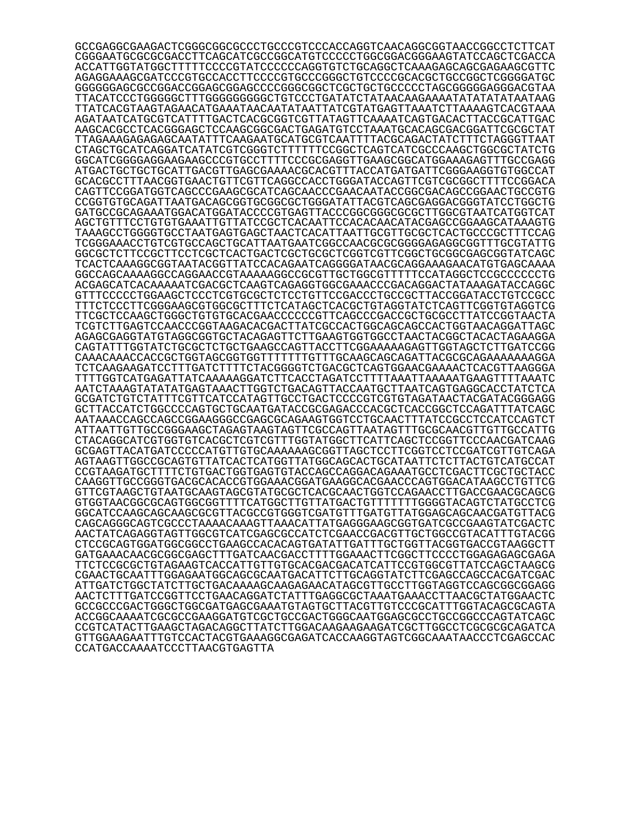GCCGAGGCGAAGACTCGGGCGGCGCCCTGCCCGTCCCACCAGGTCAACAGGCGGTAACCGGCCTCTTCAT CGGGAATGCGCGCGACCTTCAGCATCGCCGGCATGTCCCCCTGGCGGACGGGAAGTATCCAGCTCGACCA ACCATTGGTATGGCTTTTTCCCCGTATCCCCCCAGGTGTCTGCAGGCTCAAAGAGCAGCGAGAAGCGTTC AGAGGAAAGCGATCCCGTGCCACCTTCCCCGTGCCCGGGCTGTCCCCGCACGCTGCCGGCTCGGGGATGC GGGGGGAGCGCCGGACCGGAGCGGAGCCCCGGGCGGCTCGCTGCTGCCCCCTAGCGGGGGAGGGACGTAA TTACATCCCTGGGGGCTTTGGGGGGGGGCTGTCCCTGATATCTATAACAAGAAAATATATATATAATAAG TTATCACGTAAGTAGAACATGAAATAACAATATAATTATCGTATGAGTTAAATCTTAAAAGTCACGTAAA AGATAATCATGCGTCATTTTGACTCACGCGGTCGTTATAGTTCAAAATCAGTGACACTTACCGCATTGAC AAGCACGCCTCACGGGAGCTCCAAGCGGCGACTGAGATGTCCTAAATGCACAGCGACGGATTCGCGCTAT TTAGAAAGAGAGAGCAATATTTCAAGAATGCATGCGTCAATTTTACGCAGACTATCTTTCTAGGGTTAAT CTAGCTGCATCAGGATCATATCGTCGGGTCTTTTTTCCGGCTCAGTCATCGCCCAAGCTGGCGCTATCTG GGCATCGGGGAGGAAGAAGCCCGTGCCTTTTCCCGCGAGGTTGAAGCGGCATGGAAAGAGTTTGCCGAGG ATGACTGCTGCTGCATTGACGTTGAGCGAAAACGCACGTTTACCATGATGATTCGGGAAGGTGTGGCCAT GCACGCCTTTAACGGTGAACTGTTCGTTCAGGCCACCTGGGATACCAGTTCGTCGCGGCTTTTCCGGACA CAGTTCCGGATGGTCAGCCCGAAGCGCATCAGCAACCCGAACAATACCGGCGACAGCCGGAACTGCCGTG CCGGTGTGCAGATTAATGACAGCGGTGCGGCGCTGGGATATTACGTCAGCGAGGACGGGTATCCTGGCTG GATGCCGCAGAAATGGACATGGATACCCCGTGAGTTACCCGGCGGGCGCGCTTGGCGTAATCATGGTCAT AGCTGTTTCCTGTGTGAAATTGTTATCCGCTCACAATTCCACACAACATACGAGCCGGAAGCATAAAGTG TAAAGCCTGGGGTGCCTAATGAGTGAGCTAACTCACATTAATTGCGTTGCGCTCACTGCCCGCTTTCCAG TCGGGAAACCTGTCGTGCCAGCTGCATTAATGAATCGGCCAACGCGCGGGGAGAGGCGGTTTGCGTATTG GGCGCTCTTCCGCTTCCTCGCTCACTGACTCGCTGCGCTCGGTCGTTCGGCTGCGGCGAGCGGTATCAGC TCACTCAAAGGCGGTAATACGGTTATCCACAGAATCAGGGGATAACGCAGGAAAGAACATGTGAGCAAAA GGCCAGCAAAAGGCCAGGAACCGTAAAAAGGCCGCGTTGCTGGCGTTTTTCCATAGGCTCCGCCCCCCTG ACGAGCATCACAAAAATCGACGCTCAAGTCAGAGGTGGCGAAACCCGACAGGACTATAAAGATACCAGGC GTTTCCCCCTGGAAGCTCCCTCGTGCGCTCTCCTGTTCCGACCCTGCCGCTTACCGGATACCTGTCCGCC TTTCTCCCTTCGGGAAGCGTGGCGCTTTCTCATAGCTCACGCTGTAGGTATCTCAGTTCGGTGTAGGTCG TTCGCTCCAAGCTGGGCTGTGTGCACGAACCCCCCGTTCAGCCCGACCGCTGCGCCTTATCCGGTAACTA TCGTCTTGAGTCCAACCCGGTAAGACACGACTTATCGCCACTGGCAGCAGCCACTGGTAACAGGATTAGC AGAGCGAGGTATGTAGGCGGTGCTACAGAGTTCTTGAAGTGGTGGCCTAACTACGGCTACACTAGAAGGA CAGTATTTGGTATCTGCGCTCTGCTGAAGCCAGTTACCTTCGGAAAAAGAGTTGGTAGCTCTTGATCCGG CAAACAAACCACCGCTGGTAGCGGTGGTTTTTTTGTTTGCAAGCAGCAGATTACGCGCAGAAAAAAAGGA TCTCAAGAAGATCCTTTGATCTTTTCTACGGGGTCTGACGCTCAGTGGAACGAAAACTCACGTTAAGGGA TTTTGGTCATGAGATTATCAAAAAGGATCTTCACCTAGATCCTTTTAAATTAAAAATGAAGTTTTAAATC AATCTAAAGTATATATGAGTAAACTTGGTCTGACAGTTACCAATGCTTAATCAGTGAGGCACCTATCTCA GCGATCTGTCTATTTCGTTCATCCATAGTTGCCTGACTCCCCGTCGTGTAGATAACTACGATACGGGAGG GCTTACCATCTGGCCCCAGTGCTGCAATGATACCGCGAGACCCACGCTCACCGGCTCCAGATTTATCAGC AATAAACCAGCCAGCCGGAAGGGCCGAGCGCAGAAGTGGTCCTGCAACTTTATCCGCCTCCATCCAGTCT ATTAATTGTTGCCGGGAAGCTAGAGTAAGTAGTTCGCCAGTTAATAGTTTGCGCAACGTTGTTGCCATTG CTACAGGCATCGTGGTGTCACGCTCGTCGTTTGGTATGGCTTCATTCAGCTCCGGTTCCCAACGATCAAG GCGAGTTACATGATCCCCCATGTTGTGCAAAAAAGCGGTTAGCTCCTTCGGTCCTCCGATCGTTGTCAGA AGTAAGTTGGCCGCAGTGTTATCACTCATGGTTATGGCAGCACTGCATAATTCTCTTACTGTCATGCCAT CCGTAAGATGCTTTTCTGTGACTGGTGAGTGTACCAGCCAGGACAGAAATGCCTCGACTTCGCTGCTACC CAAGGTTGCCGGGTGACGCACACCGTGGAAACGGATGAAGGCACGAACCCAGTGGACATAAGCCTGTTCG GTTCGTAAGCTGTAATGCAAGTAGCGTATGCGCTCACGCAACTGGTCCAGAACCTTGACCGAACGCAGCG GTGGTAACGGCGCAGTGGCGGTTTTCATGGCTTGTTATGACTGTTTTTTTGGGGTACAGTCTATGCCTCG GGCATCCAAGCAGCAAGCGCGTTACGCCGTGGGTCGATGTTTGATGTTATGGAGCAGCAACGATGTTACG CAGCAGGGCAGTCGCCCTAAAACAAAGTTAAACATTATGAGGGAAGCGGTGATCGCCGAAGTATCGACTC AACTATCAGAGGTAGTTGGCGTCATCGAGCGCCATCTCGAACCGACGTTGCTGGCCGTACATTTGTACGG CTCCGCAGTGGATGGCGGCCTGAAGCCACACAGTGATATTGATTTGCTGGTTACGGTGACCGTAAGGCTT GATGAAACAACGCGGCGAGCTTTGATCAACGACCTTTTGGAAACTTCGGCTTCCCCTGGAGAGAGCGAGA TTCTCCGCGCTGTAGAAGTCACCATTGTTGTGCACGACGACATCATTCCGTGGCGTTATCCAGCTAAGCG CGAACTGCAATTTGGAGAATGGCAGCGCAATGACATTCTTGCAGGTATCTTCGAGCCAGCCACGATCGAC ATTGATCTGGCTATCTTGCTGACAAAAGCAAGAGAACATAGCGTTGCCTTGGTAGGTCCAGCGGCGGAGG AACTCTTTGATCCGGTTCCTGAACAGGATCTATTTGAGGCGCTAAATGAAACCTTAACGCTATGGAACTC GCCGCCCGACTGGGCTGGCGATGAGCGAAATGTAGTGCTTACGTTGTCCCGCATTTGGTACAGCGCAGTA ACCGGCAAAATCGCGCCGAAGGATGTCGCTGCCGACTGGGCAATGGAGCGCCTGCCGGCCCAGTATCAGC CCGTCATACTTGAAGCTAGACAGGCTTATCTTGGACAAGAAGAAGATCGCTTGGCCTCGCGCGCAGATCA GTTGGAAGAATTTGTCCACTACGTGAAAGGCGAGATCACCAAGGTAGTCGGCAAATAACCCTCGAGCCAC CCATGACCAAAATCCCTTAACGTGAGTTA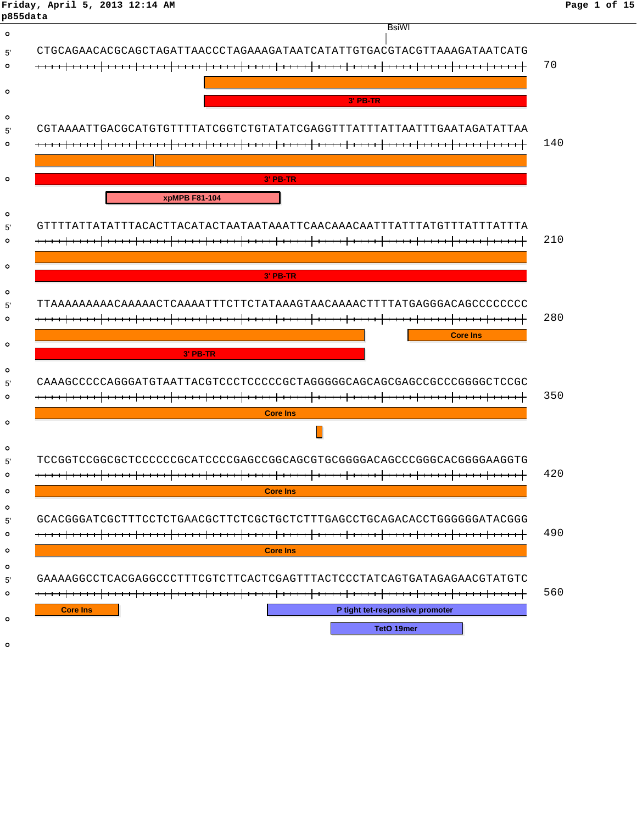## **Friday, April 5, 2013 12:14 AM Page 1 of 15**

| p855data                                                               | <b>BsiWI</b>                                                           |
|------------------------------------------------------------------------|------------------------------------------------------------------------|
|                                                                        |                                                                        |
|                                                                        |                                                                        |
|                                                                        |                                                                        |
|                                                                        |                                                                        |
|                                                                        | 3' PB-TR                                                               |
|                                                                        |                                                                        |
|                                                                        |                                                                        |
|                                                                        |                                                                        |
| 3' PB-TR                                                               |                                                                        |
| xpMPB F81-104                                                          |                                                                        |
|                                                                        |                                                                        |
|                                                                        |                                                                        |
|                                                                        |                                                                        |
| 3' PB-TR                                                               |                                                                        |
|                                                                        |                                                                        |
|                                                                        |                                                                        |
|                                                                        | <b>Core Ins</b>                                                        |
| $3'$ PB-TR                                                             |                                                                        |
| CAAAGCCCCCAGGGATGTAATTACGTCCCTCCCCCCTAGGGGCAGCAGCGAGCCGCCCCGGGGCTCCGC  |                                                                        |
|                                                                        |                                                                        |
| <b>Core Ins</b>                                                        |                                                                        |
|                                                                        |                                                                        |
| TCCGGTCCGGCGCTCCCCCCGCATCCCCGAGCCGGCAGCGTGCGGGGACAGCCCGGGCACGGGAAGGTG  |                                                                        |
|                                                                        |                                                                        |
| <b>Core Ins</b>                                                        |                                                                        |
| GCACGGGATCGCTTTCCTCTGAACGCTTCTCGCTGCTCTTTGAGCCTGCAGACACCTGGGGGGATACGGG |                                                                        |
|                                                                        |                                                                        |
| <b>Core Ins</b>                                                        |                                                                        |
|                                                                        | GAAAAGGCCTCACGAGGCCCTTTCGTCTTCACTCGAGTTTACTCCCTATCAGTGATAGAGAACGTATGTC |
|                                                                        |                                                                        |
| <b>Core Ins</b>                                                        | P tight tet-responsive promoter                                        |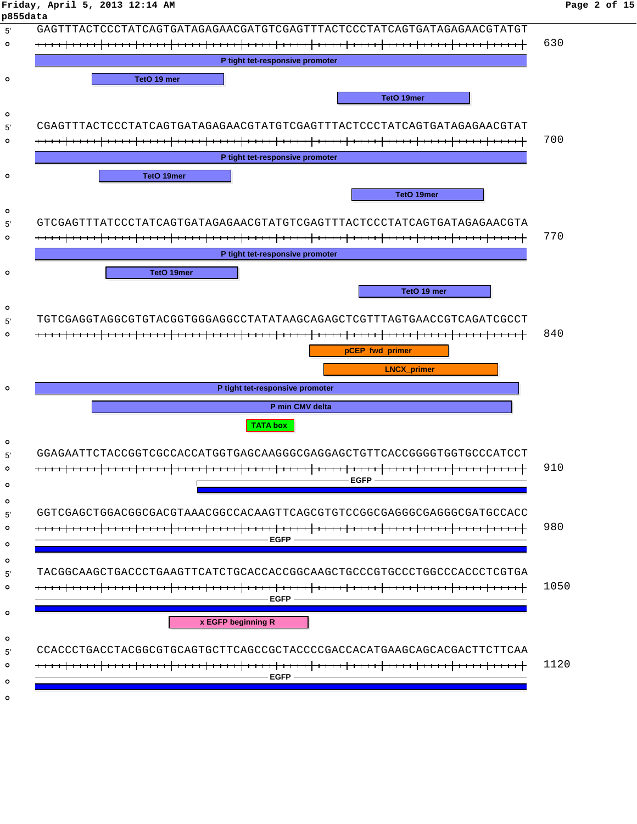| p855data                                                               |      |
|------------------------------------------------------------------------|------|
| GAGTTTACTCCCTATCAGTGATAGAGAACGATGTCGAGTTTACTCCCTATCAGTGATAGAGAACGTATGT |      |
|                                                                        | 630  |
| P tight tet-responsive promoter                                        |      |
| TetO 19 mer                                                            |      |
| TetO 19mer                                                             |      |
|                                                                        |      |
| CGAGTTTACTCCCTATCAGTGATAGAGAACGTATGTCGAGTTTACTCCCTATCAGTGATAGAGAACGTAT |      |
|                                                                        | 700  |
| P tight tet-responsive promoter                                        |      |
| <b>TetO 19mer</b>                                                      |      |
| TetO 19mer                                                             |      |
| GTCGAGTTTATCCCTATCAGTGATAGAGAACGTATGTCGAGTTTACTCCCTATCAGTGATAGAGAACGTA |      |
|                                                                        | 770  |
| P tight tet-responsive promoter                                        |      |
| <b>TetO 19mer</b>                                                      |      |
| TetO 19 mer                                                            |      |
|                                                                        |      |
| TGTCGAGGTAGGCGTGTACGGTGGGAGGCCTATATAAGCAGAGCTCGTTTAGTGAACCGTCAGATCGCCT |      |
|                                                                        | 840  |
|                                                                        |      |
| pCEP_fwd_primer                                                        |      |
| <b>LNCX_primer</b>                                                     |      |
| P tight tet-responsive promoter                                        |      |
| P min CMV delta                                                        |      |
| <b>TATA box</b>                                                        |      |
|                                                                        |      |
| GGAGAATTCTACCGGTCGCCACCATGGTGAGCAAGGGCGAGGAGCTGTTCACCGGGGTGGTGCCCATCCT |      |
| <b>EGFP</b>                                                            | 910  |
|                                                                        |      |
| GGTCGAGCTGGACGGCGACGTAAACGGCCACAAGTTCAGCGTGTCCGGCGAGGGCGAGGCGATGCCACC  |      |
|                                                                        | 980  |
| <b>EGFP</b>                                                            |      |
| TACGGCAAGCTGACCCTGAAGTTCATCTGCACCACCGGCAAGCTGCCCGTGCCCTGGCCCACCCTCGTGA |      |
|                                                                        | 1050 |
| <b>EGFP</b>                                                            |      |
| x EGFP beginning R                                                     |      |
|                                                                        |      |
| CCACCCTGACCTACGGCGTGCAGTGCTTCAGCCGCTACCCCGACCACATGAAGCAGCACGACTTCTTCAA | 1120 |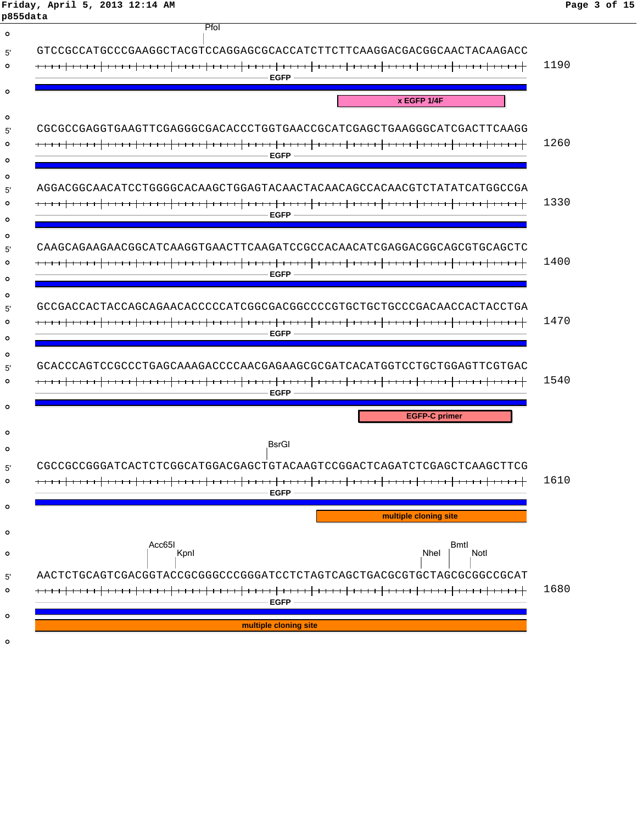| Friday, April 5, 2013 12:14 AM<br>p855data                              | Page 3 of 15 |
|-------------------------------------------------------------------------|--------------|
| Pfol                                                                    |              |
| GTCCGCCATGCCCGAAGGCTACGTCCAGGAGCGCACCATCTTCTTCAAGGACGACGGCAACTACAAGACC  |              |
| <b>EGFP</b>                                                             | 1190         |
| x EGFP 1/4F                                                             |              |
| CGCGCCGAGGTGAAGTTCGAGGGCGACACCCTGGTGAACCGCATCGAGCTGAAGGGCATCGACTTCAAGG  |              |
| <b>EGFP</b>                                                             | 1260         |
|                                                                         |              |
| AGGACGGCAACATCCTGGGGCACAAGCTGGAGTACAACTACAACAGCCACAACGTCTATATCATGGCCGA  |              |
| <b>EGFP</b>                                                             | 1330         |
| CAAGCAGAAGAACGGCATCAAGGTGAACTTCAAGATCCGCCACAACATCGAGGACGGCAGCGTGCAGCTC  |              |
|                                                                         | 1400         |
| <b>EGFP</b>                                                             |              |
| GCCGACCACTACCAGCAGAACACCCCCATCGGCGACGGCCCCGTGCTGCTGCCCGACAACCACTACCTGA  |              |
| <b>EGFP</b>                                                             | 1470         |
|                                                                         |              |
| GCACCCAGTCCGCCCTGAGCAAAGACCCCAACGAGAAGCGCGATCACATGGTCCTGCTGGAGTTCGTGAC  | 1540         |
| <b>EGFP</b>                                                             |              |
| <b>EGFP-C primer</b>                                                    |              |
| BsrGl                                                                   |              |
| CGCCGCCGGGAATCACTCTCGGCATGGACGAGCTGTACAACTCCGGACTCAGATCTCGAGCTCAAGCTTCA |              |
| <b>EGFP</b>                                                             | 1610         |
| multiple cloning site                                                   |              |
|                                                                         |              |
| Acc65I<br>Bmtl<br>Notl<br>Kpnl<br>Nhel                                  |              |
| AACTCTGCAGTCGACGGTACCGCGGGCCCGGGATCCTCTAGTCAGCTGACGCGTGCTAGCGCGCCGCAT   |              |
| <b>EGFP</b>                                                             | 1680         |
| multiple cloning site                                                   |              |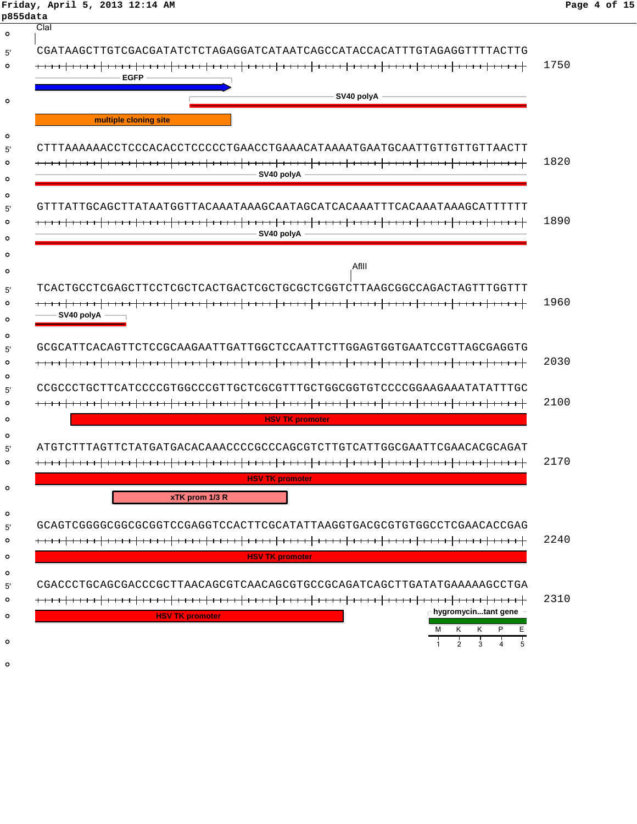| Friday, April 5, 2013 12:14 AM<br>p855data                             | Page 4 of 15 |
|------------------------------------------------------------------------|--------------|
| Clal                                                                   |              |
| CGATAAGCTTGTCGACGATATCTCTAGAGGATCATAATCAGCCATACCACATTTGTAGAGGTTTTACTTG |              |
|                                                                        | 1750         |
| <b>EGFP</b>                                                            |              |
| SV40 polyA                                                             |              |
| multiple cloning site                                                  |              |
|                                                                        |              |
|                                                                        | 1820         |
| SV40 polyA                                                             |              |
|                                                                        |              |
| GTTTATTGCAGCTTATAATGGTTACAAATAAAGCAATAGCATCACAAATTTCACAAATAAAGCATTTTTT |              |
|                                                                        | 1890         |
| SV40 polyA                                                             |              |
|                                                                        |              |
| AfIII                                                                  |              |
| TCACTGCCTCGAGCTTCCTCGCTCACTGACTCGCTGCGCTCGGTCTTAAGCGGCCAGACTAGTTTGGTTT |              |
|                                                                        | 1960         |
| SV40 polyA -                                                           |              |
| GCGCATTCACAGTTCTCCGCAAGAATTGATTGGCTCCAATTCTTGGAGTGGTGAATCCGTTAGCGAGGTG |              |
|                                                                        | 2030         |
|                                                                        |              |
| CCGCCCTGCTTCATCCCCGTGGCCCGTTGCTCGCGTTTGCTGGCGGTGTCCCCGGAAGAAATATATTTGC |              |
|                                                                        | 2100         |
| <b>HSV TK promoter</b>                                                 |              |
| ATGTCTTTAGTTCTATGATGACACAAACCCCGCCCAGCGTCTTGTCATTGGCGAATTCGAACACGCAGAT |              |
|                                                                        | 2170         |
| <b>HSV TK promoter</b>                                                 |              |
| xTK prom 1/3 R                                                         |              |
|                                                                        |              |
| GCAGTCGGGGCGGCGCGGTCCGAGGTCCACTTCGCATATTAAGGTGACGCGTGTGGCCTCGAACACCGAG |              |
|                                                                        | 2240         |
| <b>HSV TK promoter</b>                                                 |              |
|                                                                        |              |
| CGACCCTGCAGCGACCCGCTTAACAGCGTCAACAGCGTGCCGCAGATCAGCTTGATATGAAAAAGCCTGA | 2310         |
| $\Gamma$ hygromycintant gene                                           |              |
| <b>HSV TK promoter</b><br>K<br>Е<br>М<br>K                             |              |
| $\overline{2}$<br>3                                                    |              |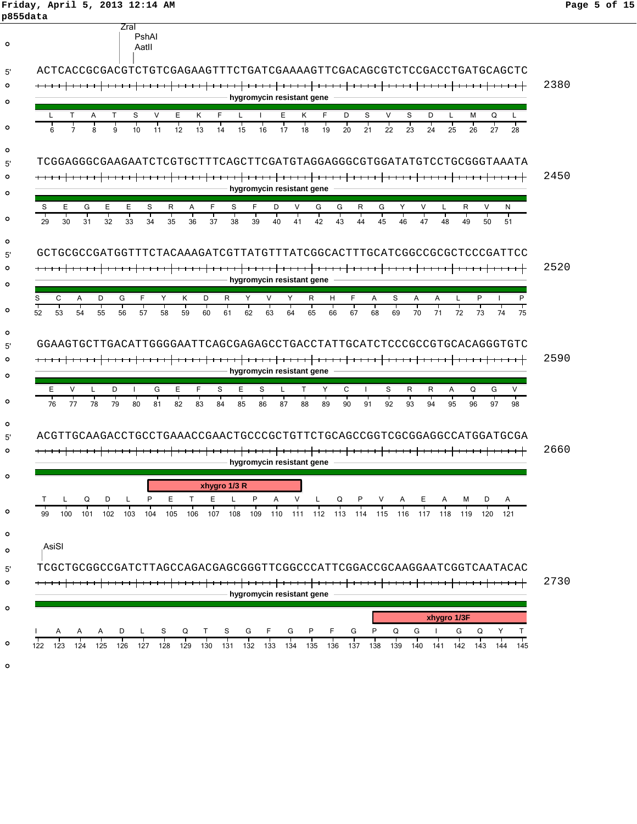#### **Friday, April 5, 2013 12:14 AM Page 5 of 15 p855data**

|                                   | Aatll                  | ACTCACCGCGACGTCTGTCGAGAAGTTTCTGATCGAAAAGTTCGACAGCGTCTCCGACCTGATGCAGCTC                                         |
|-----------------------------------|------------------------|----------------------------------------------------------------------------------------------------------------|
|                                   |                        |                                                                                                                |
|                                   |                        | hygromycin resistant gene                                                                                      |
| т<br>Т<br>A                       | S<br>v<br>Ε            | F<br>D<br>V<br>S<br>D<br>Κ<br>F.<br>E.<br>κ<br>S<br>м<br>Q                                                     |
| 8                                 | 9<br>10<br>12<br>11    | 13<br>17<br>18<br>19<br>20<br>22<br>23<br>24<br>26<br>27<br>14<br>15<br>16<br>21<br>25                         |
|                                   |                        |                                                                                                                |
|                                   |                        | TCGGAGGGCGAAGAATCTCGTGCTTTCAGCTTCGATGTAGGAGGGCGTGGATATGTCCTGCGGGTAAATA                                         |
|                                   |                        | hygromycin resistant gene                                                                                      |
| S<br>Е<br>G<br>Е                  | E.<br>S<br>R           | S<br>F<br>G<br>V<br>F<br>D<br>V<br>G<br>Y<br>V<br>R<br>N<br>Α<br>R<br>G<br>L                                   |
| 29<br>30<br>32<br>31              | 35<br>33<br>34         | т<br>45<br>46<br>36<br>38<br>39<br>40<br>41<br>42<br>43<br>47<br>48<br>49<br>37<br>44<br>50<br>51              |
|                                   |                        |                                                                                                                |
|                                   |                        | GCTGCGCCGATGGTTTCTACAAAGATCGTTATGTTTATCGGCACTTTGCATCGGCCGCGCTCCCGATTCC                                         |
|                                   |                        | hygromycin resistant gene                                                                                      |
| D<br>S<br>С<br>Α                  | G<br>F.<br>Κ<br>Y      | D<br>R<br>P<br>Y<br>V<br>Y<br>R<br>н<br>F<br>Α<br>S<br>Α<br>Α<br>L                                             |
| $\overline{53}$<br>52<br>55<br>54 | 57<br>56<br>58         | $\overline{71}$<br>72<br>59<br>61<br>62<br>64<br>65<br>66<br>67<br>68<br>70<br>73<br>60<br>63<br>69<br>74      |
|                                   |                        |                                                                                                                |
|                                   |                        | GGAAGTGCTTGACATTGGGGAATTCAGCGAGAGCCTGACCTATTGCATCTCCCGCCGTGCACAGGGTGTC                                         |
|                                   |                        |                                                                                                                |
|                                   |                        |                                                                                                                |
|                                   |                        | hygromycin resistant gene                                                                                      |
| Ε<br>$\vee$                       | D<br>E<br>G<br>I.<br>т | F<br>Е<br>Y<br>C<br>S<br>S<br>S<br>T<br>R<br>R<br>Q<br>G<br>L<br>A<br>т<br>т<br>Т                              |
| 78<br>76<br>77                    | 79<br>80<br>81<br>82   | 83<br>84<br>85<br>86<br>87<br>88<br>89<br>90<br>91<br>92<br>93<br>94<br>95<br>96<br>97                         |
|                                   |                        |                                                                                                                |
|                                   |                        | ACGTTGCAAGACCTGCCTGAAACCGAACTGCCCGCTGTTCTGCAGCCGGTCGCGGAGGCCATGGATGCGA                                         |
|                                   |                        | hygromycin resistant gene                                                                                      |
|                                   |                        | xhygro 1/3 R                                                                                                   |
| Ð                                 | P<br>Е                 | P<br>Е<br>v<br>т<br>L<br>A<br>Q                                                                                |
| 99<br>100<br>102<br>101           | 103<br>104<br>105      | 109<br>106<br>107<br>108<br>112<br>113<br>115<br>116<br>117<br>118<br>119<br>120<br>121<br>110<br>- 111<br>114 |
|                                   |                        |                                                                                                                |
| AsiSI                             |                        |                                                                                                                |
|                                   |                        | TCGCTGCGGCCGATCTTAGCCAGACGAGCGGGTTCGGCCCATTCGGACCGCAAGGAATCGGTCAATACAC                                         |
|                                   |                        |                                                                                                                |
|                                   |                        | hygromycin resistant gene                                                                                      |
|                                   |                        | xhygro 1/3F                                                                                                    |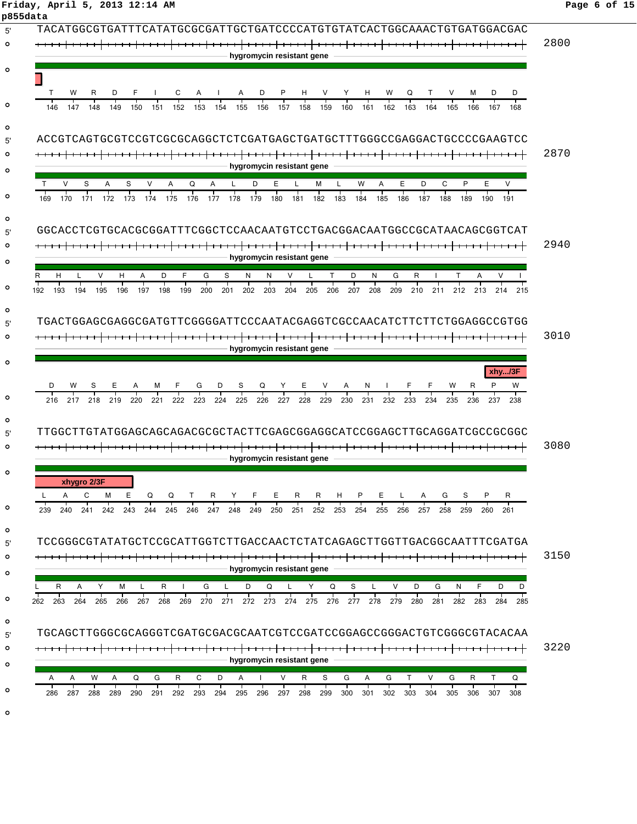# **Friday, April 5, 2013 12:14 AM Page 6 of 15**

| TACATGGCGTGATTTCATATGCGCGATTGCTGATCCCCATGTGTATCACTGGCAAACTGTGATGGACGAC                                                                                                                                                                        |
|-----------------------------------------------------------------------------------------------------------------------------------------------------------------------------------------------------------------------------------------------|
|                                                                                                                                                                                                                                               |
|                                                                                                                                                                                                                                               |
| hygromycin resistant gene                                                                                                                                                                                                                     |
|                                                                                                                                                                                                                                               |
| C<br>Α<br>Α<br>D<br>P<br>Н<br>Н<br>W<br>D<br>D<br>w<br>R<br>V<br>Y<br>Q<br>V<br>м                                                                                                                                                             |
| 152<br>157<br>158<br>160<br>161<br>163<br>164<br>165<br>166<br>146<br>147<br>148<br>149<br>150<br>151<br>153<br>154<br>155<br>156<br>159<br>162<br>167<br>168                                                                                 |
|                                                                                                                                                                                                                                               |
| ACCGTCAGTGCGTCCGTCGCGCAGGCTCTCGATGAGCTGATGCTTTGGGCCGAGGACTGCCCGAAGTCC                                                                                                                                                                         |
|                                                                                                                                                                                                                                               |
| hygromycin resistant gene                                                                                                                                                                                                                     |
| E<br>D<br>C<br>P<br>E<br>V<br>S<br>Q<br>D<br>Е<br>М<br>W<br>Α<br>V<br>S<br>A<br>v<br>A<br>A                                                                                                                                                   |
| 185<br>176<br>182<br>186<br>188<br>170<br>172<br>173<br>174<br>175<br>177<br>178<br>179<br>180<br>183<br>184<br>187<br>189<br>169<br>171<br>181<br>190<br>191                                                                                 |
|                                                                                                                                                                                                                                               |
| GGCACCTCGTGCACGCGGATTTCGGCTCCAACAATGTCCTGACGGACAATGGCCGCATAACAGCGGTCAT                                                                                                                                                                        |
|                                                                                                                                                                                                                                               |
| hygromycin resistant gene                                                                                                                                                                                                                     |
| H<br>v<br>v<br>н<br>A<br>D<br>F<br>G<br>S<br>N<br>N<br>т<br>D<br>N<br>G<br>R<br>т<br>A                                                                                                                                                        |
| 195<br>196<br>198<br>199<br>202<br>204<br>205<br>207<br>208<br>210<br>213<br>193<br>194<br>197<br>200<br>201<br>203<br>206<br>209<br>211<br>212<br>192<br>214<br>215                                                                          |
|                                                                                                                                                                                                                                               |
| TGACTGGAGCGAGGCGATGTTCGGGGATTCCCAATACGAGGTCGCCAACATCTTCTTCTGGAGGCCGTGG                                                                                                                                                                        |
|                                                                                                                                                                                                                                               |
| hygromycin resistant gene                                                                                                                                                                                                                     |
| xhy/3F                                                                                                                                                                                                                                        |
| D<br>W<br>G<br>S<br>Q<br>Y<br>Е<br>W<br>R.<br>N                                                                                                                                                                                               |
| 220<br>221<br>222<br>223<br>224<br>225<br>226<br>227<br>228<br>229<br>230<br>231<br>232<br>233<br>234<br>235<br>216<br>217 218<br>219<br>236<br>237<br>238                                                                                    |
|                                                                                                                                                                                                                                               |
|                                                                                                                                                                                                                                               |
|                                                                                                                                                                                                                                               |
|                                                                                                                                                                                                                                               |
| hvaromvcin resistant gene                                                                                                                                                                                                                     |
|                                                                                                                                                                                                                                               |
| xhygro 2/3F                                                                                                                                                                                                                                   |
| A<br>C<br>м<br>E.<br>Q<br>F.<br>Е<br>P<br>Е.<br>Q<br>T.<br>R<br>Y<br>R<br>R<br>H<br>Ι.<br>A<br>G<br>S<br>P<br>R                                                                                                                               |
| 243 244<br>245<br>246 247<br>248<br>249<br>250<br>252<br>255<br>240 241<br>242<br>251<br>253<br>254<br>256<br>257<br>258<br>259<br>260<br>261                                                                                                 |
|                                                                                                                                                                                                                                               |
|                                                                                                                                                                                                                                               |
|                                                                                                                                                                                                                                               |
| hygromycin resistant gene                                                                                                                                                                                                                     |
| $\mathsf{R}$<br>S<br>G<br>F<br>A<br>Y<br>M<br>R<br>G<br>D<br>Q<br>Y<br>Q<br>V<br>D<br>N<br>D<br>D<br>L                                                                                                                                        |
| 280<br>265<br>267<br>268<br>269<br>271<br>272<br>273<br>274<br>279<br>283<br>263<br>264<br>266<br>270<br>275<br>276<br>277<br>278<br>281<br>282<br>284<br>285                                                                                 |
|                                                                                                                                                                                                                                               |
|                                                                                                                                                                                                                                               |
| TTGGCTTGTATGGAGCAGCAGACGCGCTACTTCGAGCGGAGGCATCCGGAGCTTGCAGGATCGCCGCGCG<br>L<br>239<br>TCCGGGCGTATATGCTCCGCATTGGTCTTGACCAACTCTATCAGAGCTTGGTTGACGGCAATTTCGATGA<br>262<br>TGCAGCTTGGGCGCAGGGTCGATGCGACGCAATCGTCCGATCCGGAGCCGGGACTGTCGGGCGTACACAA |
| hygromycin resistant gene                                                                                                                                                                                                                     |
| Q<br>R<br>C<br>A<br>R<br>S<br>A<br>G<br>T.<br>V<br>G<br>R<br>T.<br>Q<br>Α<br>w<br>A<br>G<br>D<br>$\mathbf{I}$<br>V<br>G<br>A                                                                                                                  |
| 290<br>293<br>295<br>298<br>299<br>300<br>301<br>302<br>304<br>305<br>307<br>287<br>288<br>289<br>291<br>292<br>294<br>296<br>297<br>303<br>306<br>308<br>286                                                                                 |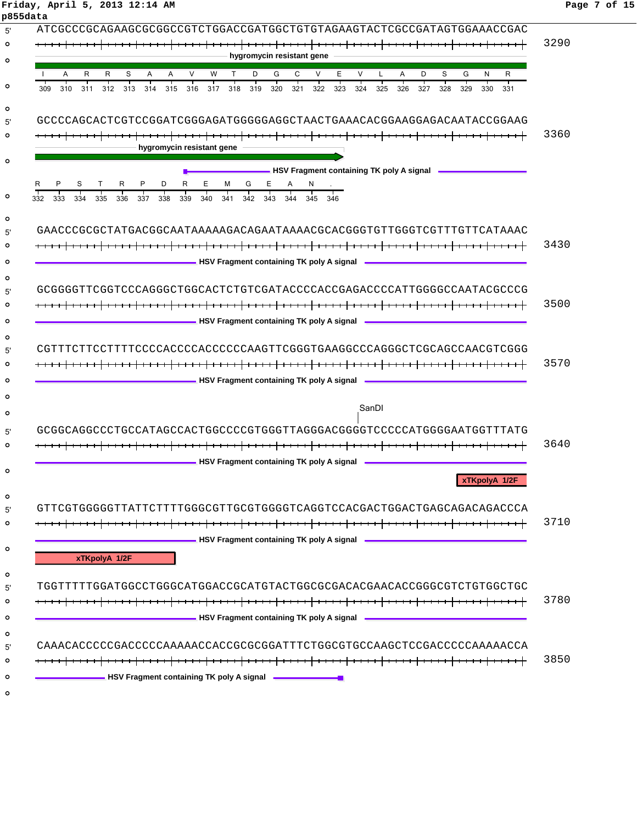#### **Friday, April 5, 2013 12:14 AM Page 7 of 15 p855data**

| hygromycin resistant gene<br>R<br>S<br>$\vee$<br>D<br>G<br>C<br>V<br>Е<br>$\vee$<br>D<br>S<br>G<br>R<br>W<br>T.<br>Α<br>N<br>R<br>A<br>A<br>A<br>L<br>312<br>313<br>314<br>315<br>316<br>317<br>318<br>319<br>320<br>321<br>322<br>323<br>324<br>325<br>326<br>327<br>328<br>309<br>310<br>311<br>329<br>330<br>331<br>GCCCCAGCACTCGTCCGGATCGGGAGATGGGGAGGCTAACTGAAACACGGAAGGAGACAATACCGGAAG<br>hygromycin resistant gene<br>HSV Fragment containing TK poly A signal <b>NALL ASS</b><br>R<br>P.<br>Е,<br>M<br>G<br>$E_{\perp}$<br>A<br>333<br>335<br>336<br>340<br>342<br>343<br>334<br>337<br>338<br>339<br>341<br>344<br>345<br>346<br>GAACCCGCGCTATGACGGCAATAAAAAGACAGAATAAAACGCACGGGTGTTTGGGTCGTTTTGTTCATAAAC<br><b>NATIONAL PROPERTY IS A SET OF A SET OF A SET OF A SIGNAL PROPERTY ASSESS</b><br><b>NAMEL ASSESSMENT CONTAINING THE SET OF STATE ASSESSMENT CONTAINING</b> THE POID A Signal Assessment Development Containing TK poly A signal<br>CGTTTCTTCCTTTTCCCCACCCCACCCCCAAGTTCGGGTGAAGGCCCAGGGCTCGCAGCCAACGTCGGG<br><b>EXAMPLE 2018 HASA Fragment containing TK poly A signal EXAMPLE 2018</b><br>SanDI<br>GCGGCAGGCCCTGCCATAGCCACTGGCCCCGTGGGTTAGGGACGGGTCCCCCATGGGGAATGGTTTATG<br>HSV Fragment containing TK poly A signal <b>National Assessment</b><br>xTKpolyA 1/2F<br>xTKpolyA 1/2F<br>TGGTTTTTGGATGGCCTGGGCATGGACCGCATGTACTGGCGCGACACGAACACCGGGCGTCTGTGGCTGC<br>____________________________HSV Fragment containing TK poly A signal _______________________________<br>CAAACACCCCCGACCCCCAAAAACCACCGCGCGGATTTCTGGCGTGCCAAGCTCCGACCCCCAAAAACCA<br><b>EXAMPLE 2014 THE SET ASSESS</b> EXAMPLE 2014 THE SET AND THE SET AND THE SET ASSESSMENT ASSESSMENT AND THE SET AND THE SET ASSESSMENT AND THE SET AND THE SET AND THE SET AND THE SET AND THE SET AND THE SET AND THE SET AND TH | ATCGCCCGCAGAAGCGCGGCCGTCTGGACCGATGGCTGTGTAGAAGTACTCGCCGATAGTGGAAACCGAC |
|--------------------------------------------------------------------------------------------------------------------------------------------------------------------------------------------------------------------------------------------------------------------------------------------------------------------------------------------------------------------------------------------------------------------------------------------------------------------------------------------------------------------------------------------------------------------------------------------------------------------------------------------------------------------------------------------------------------------------------------------------------------------------------------------------------------------------------------------------------------------------------------------------------------------------------------------------------------------------------------------------------------------------------------------------------------------------------------------------------------------------------------------------------------------------------------------------------------------------------------------------------------------------------------------------------------------------------------------------------------------------------------------------------------------------------------------------------------------------------------------------------------------------------------------------------------------------------------------------------------------------------------------------------------------------------------------------------------------------------------------------------------------------------------------------------------|------------------------------------------------------------------------|
|                                                                                                                                                                                                                                                                                                                                                                                                                                                                                                                                                                                                                                                                                                                                                                                                                                                                                                                                                                                                                                                                                                                                                                                                                                                                                                                                                                                                                                                                                                                                                                                                                                                                                                                                                                                                              |                                                                        |
|                                                                                                                                                                                                                                                                                                                                                                                                                                                                                                                                                                                                                                                                                                                                                                                                                                                                                                                                                                                                                                                                                                                                                                                                                                                                                                                                                                                                                                                                                                                                                                                                                                                                                                                                                                                                              |                                                                        |
|                                                                                                                                                                                                                                                                                                                                                                                                                                                                                                                                                                                                                                                                                                                                                                                                                                                                                                                                                                                                                                                                                                                                                                                                                                                                                                                                                                                                                                                                                                                                                                                                                                                                                                                                                                                                              |                                                                        |
|                                                                                                                                                                                                                                                                                                                                                                                                                                                                                                                                                                                                                                                                                                                                                                                                                                                                                                                                                                                                                                                                                                                                                                                                                                                                                                                                                                                                                                                                                                                                                                                                                                                                                                                                                                                                              |                                                                        |
|                                                                                                                                                                                                                                                                                                                                                                                                                                                                                                                                                                                                                                                                                                                                                                                                                                                                                                                                                                                                                                                                                                                                                                                                                                                                                                                                                                                                                                                                                                                                                                                                                                                                                                                                                                                                              |                                                                        |
|                                                                                                                                                                                                                                                                                                                                                                                                                                                                                                                                                                                                                                                                                                                                                                                                                                                                                                                                                                                                                                                                                                                                                                                                                                                                                                                                                                                                                                                                                                                                                                                                                                                                                                                                                                                                              |                                                                        |
|                                                                                                                                                                                                                                                                                                                                                                                                                                                                                                                                                                                                                                                                                                                                                                                                                                                                                                                                                                                                                                                                                                                                                                                                                                                                                                                                                                                                                                                                                                                                                                                                                                                                                                                                                                                                              |                                                                        |
|                                                                                                                                                                                                                                                                                                                                                                                                                                                                                                                                                                                                                                                                                                                                                                                                                                                                                                                                                                                                                                                                                                                                                                                                                                                                                                                                                                                                                                                                                                                                                                                                                                                                                                                                                                                                              |                                                                        |
|                                                                                                                                                                                                                                                                                                                                                                                                                                                                                                                                                                                                                                                                                                                                                                                                                                                                                                                                                                                                                                                                                                                                                                                                                                                                                                                                                                                                                                                                                                                                                                                                                                                                                                                                                                                                              |                                                                        |
|                                                                                                                                                                                                                                                                                                                                                                                                                                                                                                                                                                                                                                                                                                                                                                                                                                                                                                                                                                                                                                                                                                                                                                                                                                                                                                                                                                                                                                                                                                                                                                                                                                                                                                                                                                                                              |                                                                        |
|                                                                                                                                                                                                                                                                                                                                                                                                                                                                                                                                                                                                                                                                                                                                                                                                                                                                                                                                                                                                                                                                                                                                                                                                                                                                                                                                                                                                                                                                                                                                                                                                                                                                                                                                                                                                              |                                                                        |
|                                                                                                                                                                                                                                                                                                                                                                                                                                                                                                                                                                                                                                                                                                                                                                                                                                                                                                                                                                                                                                                                                                                                                                                                                                                                                                                                                                                                                                                                                                                                                                                                                                                                                                                                                                                                              |                                                                        |
|                                                                                                                                                                                                                                                                                                                                                                                                                                                                                                                                                                                                                                                                                                                                                                                                                                                                                                                                                                                                                                                                                                                                                                                                                                                                                                                                                                                                                                                                                                                                                                                                                                                                                                                                                                                                              |                                                                        |
|                                                                                                                                                                                                                                                                                                                                                                                                                                                                                                                                                                                                                                                                                                                                                                                                                                                                                                                                                                                                                                                                                                                                                                                                                                                                                                                                                                                                                                                                                                                                                                                                                                                                                                                                                                                                              | 332                                                                    |
|                                                                                                                                                                                                                                                                                                                                                                                                                                                                                                                                                                                                                                                                                                                                                                                                                                                                                                                                                                                                                                                                                                                                                                                                                                                                                                                                                                                                                                                                                                                                                                                                                                                                                                                                                                                                              |                                                                        |
|                                                                                                                                                                                                                                                                                                                                                                                                                                                                                                                                                                                                                                                                                                                                                                                                                                                                                                                                                                                                                                                                                                                                                                                                                                                                                                                                                                                                                                                                                                                                                                                                                                                                                                                                                                                                              |                                                                        |
|                                                                                                                                                                                                                                                                                                                                                                                                                                                                                                                                                                                                                                                                                                                                                                                                                                                                                                                                                                                                                                                                                                                                                                                                                                                                                                                                                                                                                                                                                                                                                                                                                                                                                                                                                                                                              |                                                                        |
|                                                                                                                                                                                                                                                                                                                                                                                                                                                                                                                                                                                                                                                                                                                                                                                                                                                                                                                                                                                                                                                                                                                                                                                                                                                                                                                                                                                                                                                                                                                                                                                                                                                                                                                                                                                                              |                                                                        |
|                                                                                                                                                                                                                                                                                                                                                                                                                                                                                                                                                                                                                                                                                                                                                                                                                                                                                                                                                                                                                                                                                                                                                                                                                                                                                                                                                                                                                                                                                                                                                                                                                                                                                                                                                                                                              |                                                                        |
|                                                                                                                                                                                                                                                                                                                                                                                                                                                                                                                                                                                                                                                                                                                                                                                                                                                                                                                                                                                                                                                                                                                                                                                                                                                                                                                                                                                                                                                                                                                                                                                                                                                                                                                                                                                                              |                                                                        |
|                                                                                                                                                                                                                                                                                                                                                                                                                                                                                                                                                                                                                                                                                                                                                                                                                                                                                                                                                                                                                                                                                                                                                                                                                                                                                                                                                                                                                                                                                                                                                                                                                                                                                                                                                                                                              | GCGGGGTTCGGTCCCAGGGCTGGCACTCTGTCGATACCCCACCGAGACCCCATTGGGGCCAATACGCCCG |
|                                                                                                                                                                                                                                                                                                                                                                                                                                                                                                                                                                                                                                                                                                                                                                                                                                                                                                                                                                                                                                                                                                                                                                                                                                                                                                                                                                                                                                                                                                                                                                                                                                                                                                                                                                                                              |                                                                        |
|                                                                                                                                                                                                                                                                                                                                                                                                                                                                                                                                                                                                                                                                                                                                                                                                                                                                                                                                                                                                                                                                                                                                                                                                                                                                                                                                                                                                                                                                                                                                                                                                                                                                                                                                                                                                              |                                                                        |
|                                                                                                                                                                                                                                                                                                                                                                                                                                                                                                                                                                                                                                                                                                                                                                                                                                                                                                                                                                                                                                                                                                                                                                                                                                                                                                                                                                                                                                                                                                                                                                                                                                                                                                                                                                                                              |                                                                        |
|                                                                                                                                                                                                                                                                                                                                                                                                                                                                                                                                                                                                                                                                                                                                                                                                                                                                                                                                                                                                                                                                                                                                                                                                                                                                                                                                                                                                                                                                                                                                                                                                                                                                                                                                                                                                              |                                                                        |
|                                                                                                                                                                                                                                                                                                                                                                                                                                                                                                                                                                                                                                                                                                                                                                                                                                                                                                                                                                                                                                                                                                                                                                                                                                                                                                                                                                                                                                                                                                                                                                                                                                                                                                                                                                                                              |                                                                        |
|                                                                                                                                                                                                                                                                                                                                                                                                                                                                                                                                                                                                                                                                                                                                                                                                                                                                                                                                                                                                                                                                                                                                                                                                                                                                                                                                                                                                                                                                                                                                                                                                                                                                                                                                                                                                              |                                                                        |
|                                                                                                                                                                                                                                                                                                                                                                                                                                                                                                                                                                                                                                                                                                                                                                                                                                                                                                                                                                                                                                                                                                                                                                                                                                                                                                                                                                                                                                                                                                                                                                                                                                                                                                                                                                                                              |                                                                        |
|                                                                                                                                                                                                                                                                                                                                                                                                                                                                                                                                                                                                                                                                                                                                                                                                                                                                                                                                                                                                                                                                                                                                                                                                                                                                                                                                                                                                                                                                                                                                                                                                                                                                                                                                                                                                              |                                                                        |
|                                                                                                                                                                                                                                                                                                                                                                                                                                                                                                                                                                                                                                                                                                                                                                                                                                                                                                                                                                                                                                                                                                                                                                                                                                                                                                                                                                                                                                                                                                                                                                                                                                                                                                                                                                                                              |                                                                        |
|                                                                                                                                                                                                                                                                                                                                                                                                                                                                                                                                                                                                                                                                                                                                                                                                                                                                                                                                                                                                                                                                                                                                                                                                                                                                                                                                                                                                                                                                                                                                                                                                                                                                                                                                                                                                              |                                                                        |
|                                                                                                                                                                                                                                                                                                                                                                                                                                                                                                                                                                                                                                                                                                                                                                                                                                                                                                                                                                                                                                                                                                                                                                                                                                                                                                                                                                                                                                                                                                                                                                                                                                                                                                                                                                                                              |                                                                        |
|                                                                                                                                                                                                                                                                                                                                                                                                                                                                                                                                                                                                                                                                                                                                                                                                                                                                                                                                                                                                                                                                                                                                                                                                                                                                                                                                                                                                                                                                                                                                                                                                                                                                                                                                                                                                              |                                                                        |
|                                                                                                                                                                                                                                                                                                                                                                                                                                                                                                                                                                                                                                                                                                                                                                                                                                                                                                                                                                                                                                                                                                                                                                                                                                                                                                                                                                                                                                                                                                                                                                                                                                                                                                                                                                                                              |                                                                        |
|                                                                                                                                                                                                                                                                                                                                                                                                                                                                                                                                                                                                                                                                                                                                                                                                                                                                                                                                                                                                                                                                                                                                                                                                                                                                                                                                                                                                                                                                                                                                                                                                                                                                                                                                                                                                              |                                                                        |
|                                                                                                                                                                                                                                                                                                                                                                                                                                                                                                                                                                                                                                                                                                                                                                                                                                                                                                                                                                                                                                                                                                                                                                                                                                                                                                                                                                                                                                                                                                                                                                                                                                                                                                                                                                                                              |                                                                        |
|                                                                                                                                                                                                                                                                                                                                                                                                                                                                                                                                                                                                                                                                                                                                                                                                                                                                                                                                                                                                                                                                                                                                                                                                                                                                                                                                                                                                                                                                                                                                                                                                                                                                                                                                                                                                              |                                                                        |
|                                                                                                                                                                                                                                                                                                                                                                                                                                                                                                                                                                                                                                                                                                                                                                                                                                                                                                                                                                                                                                                                                                                                                                                                                                                                                                                                                                                                                                                                                                                                                                                                                                                                                                                                                                                                              |                                                                        |
|                                                                                                                                                                                                                                                                                                                                                                                                                                                                                                                                                                                                                                                                                                                                                                                                                                                                                                                                                                                                                                                                                                                                                                                                                                                                                                                                                                                                                                                                                                                                                                                                                                                                                                                                                                                                              |                                                                        |
|                                                                                                                                                                                                                                                                                                                                                                                                                                                                                                                                                                                                                                                                                                                                                                                                                                                                                                                                                                                                                                                                                                                                                                                                                                                                                                                                                                                                                                                                                                                                                                                                                                                                                                                                                                                                              |                                                                        |
|                                                                                                                                                                                                                                                                                                                                                                                                                                                                                                                                                                                                                                                                                                                                                                                                                                                                                                                                                                                                                                                                                                                                                                                                                                                                                                                                                                                                                                                                                                                                                                                                                                                                                                                                                                                                              |                                                                        |
|                                                                                                                                                                                                                                                                                                                                                                                                                                                                                                                                                                                                                                                                                                                                                                                                                                                                                                                                                                                                                                                                                                                                                                                                                                                                                                                                                                                                                                                                                                                                                                                                                                                                                                                                                                                                              |                                                                        |
|                                                                                                                                                                                                                                                                                                                                                                                                                                                                                                                                                                                                                                                                                                                                                                                                                                                                                                                                                                                                                                                                                                                                                                                                                                                                                                                                                                                                                                                                                                                                                                                                                                                                                                                                                                                                              |                                                                        |
|                                                                                                                                                                                                                                                                                                                                                                                                                                                                                                                                                                                                                                                                                                                                                                                                                                                                                                                                                                                                                                                                                                                                                                                                                                                                                                                                                                                                                                                                                                                                                                                                                                                                                                                                                                                                              |                                                                        |
|                                                                                                                                                                                                                                                                                                                                                                                                                                                                                                                                                                                                                                                                                                                                                                                                                                                                                                                                                                                                                                                                                                                                                                                                                                                                                                                                                                                                                                                                                                                                                                                                                                                                                                                                                                                                              |                                                                        |
|                                                                                                                                                                                                                                                                                                                                                                                                                                                                                                                                                                                                                                                                                                                                                                                                                                                                                                                                                                                                                                                                                                                                                                                                                                                                                                                                                                                                                                                                                                                                                                                                                                                                                                                                                                                                              |                                                                        |
|                                                                                                                                                                                                                                                                                                                                                                                                                                                                                                                                                                                                                                                                                                                                                                                                                                                                                                                                                                                                                                                                                                                                                                                                                                                                                                                                                                                                                                                                                                                                                                                                                                                                                                                                                                                                              |                                                                        |
|                                                                                                                                                                                                                                                                                                                                                                                                                                                                                                                                                                                                                                                                                                                                                                                                                                                                                                                                                                                                                                                                                                                                                                                                                                                                                                                                                                                                                                                                                                                                                                                                                                                                                                                                                                                                              |                                                                        |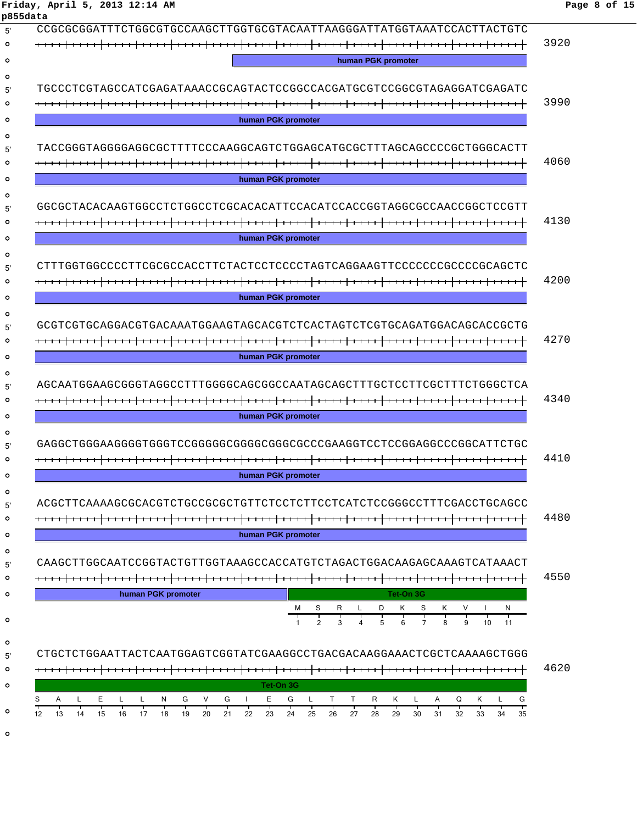|          | Friday, April 5, 2013 12:14 AM |                                                                        | Page 8 of 15 |
|----------|--------------------------------|------------------------------------------------------------------------|--------------|
| p855data |                                |                                                                        |              |
|          |                                | CCGCGCGGATTTCTGGCGTGCCAAGCTTGGTGCGTACAATTAAGGGATTATGGTAAATCCACTTACTGTC |              |
| $\circ$  |                                |                                                                        | 3920         |
| . O      |                                | human PGK promoter                                                     |              |

| human PGK promoter<br>TGCCCTCGTAGCCATCGAGATAAACCGCAGTACTCCGGCCACGATGCGTCCGGCGTAGAGGATCGAGATC<br>human PGK promoter<br>TACCGGGTAGGGGAGGCGCTTTTCCCAAGGCAGTCTGGAGCATGCGCTTTAGCAGCCCCCGCTGGGCACTT<br>human PGK promoter<br>GGCGCTACACAAGTGGCCTCTGGCCTCGCACACATTCCACATCCACCGGTAGGCGCCAACCGGCTCCGTT<br>human PGK promoter<br>human PGK promoter<br>GCGTCGTGCAGGACGTGACAAATGGAAGTAGCACGTCTCACTAGTCTCGTGCAGATGGACAGCACCGCTG<br>human PGK promoter<br>AGCAATGGAAGCGGGTAGGCCTTTGGGGCAAGCGCCAATAGCAGCTTTGCTCCTTCGCTTTCTGGGCTCA<br>human PGK promoter<br>GAGGCTGGGAAGGGGTGGGTCCGGGGGCGGGGCGGCCCCCGAAGGTCCTCCGGAGGCCCGGCATTCTGC<br>human PGK promoter<br>TCTCCTCTTCCTCATCTCCGGGCCTTTCGACCTGCAGCC<br>ACGCTTCAAAAGCGCACGTCTGCCGCGCTGT<br>human PGK promoter<br>CAAGCTTGGCAATCCGGTACTGTTGGTAAAGCCACCATGTCTAGACTGGACAAGGCAAAGTCATAAACT<br>human PGK promoter<br>Tet-On 3G<br>м<br>Κ<br>S<br>N<br>10<br>11<br>CTGCTCTGGAATTACTCAATGGAGTCGGTATCGAAGGCCTGACGACAAGGAAACTCGCTCAAAAGCTGGG<br>Tet-On 3G<br>V<br>G<br>E.<br>G<br>Α<br>Е<br>L<br>N<br>G<br>G<br>L<br>Τ<br>Τ<br>R<br>Κ<br>Α<br>Q<br>Κ<br>L<br>L.<br>L<br>L<br>┯<br>35<br>22<br>21<br>29<br>13<br>15<br>16<br>17<br>19<br>20<br>23<br>24<br>26<br>27<br>28<br>30<br>32<br>33<br>34<br>12<br>14<br>18<br>25<br>31 |  |
|------------------------------------------------------------------------------------------------------------------------------------------------------------------------------------------------------------------------------------------------------------------------------------------------------------------------------------------------------------------------------------------------------------------------------------------------------------------------------------------------------------------------------------------------------------------------------------------------------------------------------------------------------------------------------------------------------------------------------------------------------------------------------------------------------------------------------------------------------------------------------------------------------------------------------------------------------------------------------------------------------------------------------------------------------------------------------------------------------------------------------------------------------------------------------------------------------------------------------------------------------|--|
|                                                                                                                                                                                                                                                                                                                                                                                                                                                                                                                                                                                                                                                                                                                                                                                                                                                                                                                                                                                                                                                                                                                                                                                                                                                      |  |
|                                                                                                                                                                                                                                                                                                                                                                                                                                                                                                                                                                                                                                                                                                                                                                                                                                                                                                                                                                                                                                                                                                                                                                                                                                                      |  |
|                                                                                                                                                                                                                                                                                                                                                                                                                                                                                                                                                                                                                                                                                                                                                                                                                                                                                                                                                                                                                                                                                                                                                                                                                                                      |  |
|                                                                                                                                                                                                                                                                                                                                                                                                                                                                                                                                                                                                                                                                                                                                                                                                                                                                                                                                                                                                                                                                                                                                                                                                                                                      |  |
|                                                                                                                                                                                                                                                                                                                                                                                                                                                                                                                                                                                                                                                                                                                                                                                                                                                                                                                                                                                                                                                                                                                                                                                                                                                      |  |
|                                                                                                                                                                                                                                                                                                                                                                                                                                                                                                                                                                                                                                                                                                                                                                                                                                                                                                                                                                                                                                                                                                                                                                                                                                                      |  |
|                                                                                                                                                                                                                                                                                                                                                                                                                                                                                                                                                                                                                                                                                                                                                                                                                                                                                                                                                                                                                                                                                                                                                                                                                                                      |  |
|                                                                                                                                                                                                                                                                                                                                                                                                                                                                                                                                                                                                                                                                                                                                                                                                                                                                                                                                                                                                                                                                                                                                                                                                                                                      |  |
|                                                                                                                                                                                                                                                                                                                                                                                                                                                                                                                                                                                                                                                                                                                                                                                                                                                                                                                                                                                                                                                                                                                                                                                                                                                      |  |
|                                                                                                                                                                                                                                                                                                                                                                                                                                                                                                                                                                                                                                                                                                                                                                                                                                                                                                                                                                                                                                                                                                                                                                                                                                                      |  |
|                                                                                                                                                                                                                                                                                                                                                                                                                                                                                                                                                                                                                                                                                                                                                                                                                                                                                                                                                                                                                                                                                                                                                                                                                                                      |  |
|                                                                                                                                                                                                                                                                                                                                                                                                                                                                                                                                                                                                                                                                                                                                                                                                                                                                                                                                                                                                                                                                                                                                                                                                                                                      |  |
|                                                                                                                                                                                                                                                                                                                                                                                                                                                                                                                                                                                                                                                                                                                                                                                                                                                                                                                                                                                                                                                                                                                                                                                                                                                      |  |
|                                                                                                                                                                                                                                                                                                                                                                                                                                                                                                                                                                                                                                                                                                                                                                                                                                                                                                                                                                                                                                                                                                                                                                                                                                                      |  |
|                                                                                                                                                                                                                                                                                                                                                                                                                                                                                                                                                                                                                                                                                                                                                                                                                                                                                                                                                                                                                                                                                                                                                                                                                                                      |  |
|                                                                                                                                                                                                                                                                                                                                                                                                                                                                                                                                                                                                                                                                                                                                                                                                                                                                                                                                                                                                                                                                                                                                                                                                                                                      |  |
|                                                                                                                                                                                                                                                                                                                                                                                                                                                                                                                                                                                                                                                                                                                                                                                                                                                                                                                                                                                                                                                                                                                                                                                                                                                      |  |
|                                                                                                                                                                                                                                                                                                                                                                                                                                                                                                                                                                                                                                                                                                                                                                                                                                                                                                                                                                                                                                                                                                                                                                                                                                                      |  |
|                                                                                                                                                                                                                                                                                                                                                                                                                                                                                                                                                                                                                                                                                                                                                                                                                                                                                                                                                                                                                                                                                                                                                                                                                                                      |  |
|                                                                                                                                                                                                                                                                                                                                                                                                                                                                                                                                                                                                                                                                                                                                                                                                                                                                                                                                                                                                                                                                                                                                                                                                                                                      |  |
|                                                                                                                                                                                                                                                                                                                                                                                                                                                                                                                                                                                                                                                                                                                                                                                                                                                                                                                                                                                                                                                                                                                                                                                                                                                      |  |
|                                                                                                                                                                                                                                                                                                                                                                                                                                                                                                                                                                                                                                                                                                                                                                                                                                                                                                                                                                                                                                                                                                                                                                                                                                                      |  |
|                                                                                                                                                                                                                                                                                                                                                                                                                                                                                                                                                                                                                                                                                                                                                                                                                                                                                                                                                                                                                                                                                                                                                                                                                                                      |  |
|                                                                                                                                                                                                                                                                                                                                                                                                                                                                                                                                                                                                                                                                                                                                                                                                                                                                                                                                                                                                                                                                                                                                                                                                                                                      |  |
|                                                                                                                                                                                                                                                                                                                                                                                                                                                                                                                                                                                                                                                                                                                                                                                                                                                                                                                                                                                                                                                                                                                                                                                                                                                      |  |
|                                                                                                                                                                                                                                                                                                                                                                                                                                                                                                                                                                                                                                                                                                                                                                                                                                                                                                                                                                                                                                                                                                                                                                                                                                                      |  |
|                                                                                                                                                                                                                                                                                                                                                                                                                                                                                                                                                                                                                                                                                                                                                                                                                                                                                                                                                                                                                                                                                                                                                                                                                                                      |  |
|                                                                                                                                                                                                                                                                                                                                                                                                                                                                                                                                                                                                                                                                                                                                                                                                                                                                                                                                                                                                                                                                                                                                                                                                                                                      |  |
|                                                                                                                                                                                                                                                                                                                                                                                                                                                                                                                                                                                                                                                                                                                                                                                                                                                                                                                                                                                                                                                                                                                                                                                                                                                      |  |
|                                                                                                                                                                                                                                                                                                                                                                                                                                                                                                                                                                                                                                                                                                                                                                                                                                                                                                                                                                                                                                                                                                                                                                                                                                                      |  |
|                                                                                                                                                                                                                                                                                                                                                                                                                                                                                                                                                                                                                                                                                                                                                                                                                                                                                                                                                                                                                                                                                                                                                                                                                                                      |  |
|                                                                                                                                                                                                                                                                                                                                                                                                                                                                                                                                                                                                                                                                                                                                                                                                                                                                                                                                                                                                                                                                                                                                                                                                                                                      |  |
|                                                                                                                                                                                                                                                                                                                                                                                                                                                                                                                                                                                                                                                                                                                                                                                                                                                                                                                                                                                                                                                                                                                                                                                                                                                      |  |
|                                                                                                                                                                                                                                                                                                                                                                                                                                                                                                                                                                                                                                                                                                                                                                                                                                                                                                                                                                                                                                                                                                                                                                                                                                                      |  |
|                                                                                                                                                                                                                                                                                                                                                                                                                                                                                                                                                                                                                                                                                                                                                                                                                                                                                                                                                                                                                                                                                                                                                                                                                                                      |  |
|                                                                                                                                                                                                                                                                                                                                                                                                                                                                                                                                                                                                                                                                                                                                                                                                                                                                                                                                                                                                                                                                                                                                                                                                                                                      |  |
|                                                                                                                                                                                                                                                                                                                                                                                                                                                                                                                                                                                                                                                                                                                                                                                                                                                                                                                                                                                                                                                                                                                                                                                                                                                      |  |
|                                                                                                                                                                                                                                                                                                                                                                                                                                                                                                                                                                                                                                                                                                                                                                                                                                                                                                                                                                                                                                                                                                                                                                                                                                                      |  |
|                                                                                                                                                                                                                                                                                                                                                                                                                                                                                                                                                                                                                                                                                                                                                                                                                                                                                                                                                                                                                                                                                                                                                                                                                                                      |  |
|                                                                                                                                                                                                                                                                                                                                                                                                                                                                                                                                                                                                                                                                                                                                                                                                                                                                                                                                                                                                                                                                                                                                                                                                                                                      |  |
|                                                                                                                                                                                                                                                                                                                                                                                                                                                                                                                                                                                                                                                                                                                                                                                                                                                                                                                                                                                                                                                                                                                                                                                                                                                      |  |
|                                                                                                                                                                                                                                                                                                                                                                                                                                                                                                                                                                                                                                                                                                                                                                                                                                                                                                                                                                                                                                                                                                                                                                                                                                                      |  |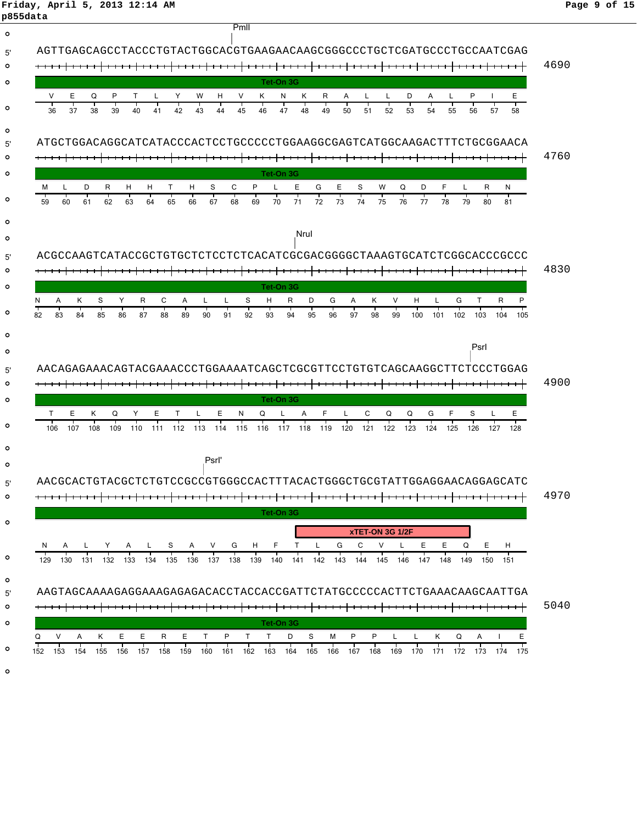# **Friday, April 5, 2013 12:14 AM Page 9 of 15**

|               | p855data                                                                                                                                                                                                                                  |      |
|---------------|-------------------------------------------------------------------------------------------------------------------------------------------------------------------------------------------------------------------------------------------|------|
| $\circ$       | Pmll                                                                                                                                                                                                                                      |      |
| 5'            | AGTTGAGCAGCCTACCCTGTACTGGCACGTGAAGAACAAGCGGGCCCTGCTCGATGCCCTGCCAATCGAG                                                                                                                                                                    |      |
| $\circ$       |                                                                                                                                                                                                                                           | 4690 |
| $\circ$       | Tet-On 3G                                                                                                                                                                                                                                 |      |
| $\circ$       | P<br>Y<br>Κ<br>P<br>E.<br>v<br>Е<br>Q<br>т<br>W<br>V<br>Κ<br>N<br>R<br>L<br>D<br>H<br>A<br>L<br>A<br>L                                                                                                                                    |      |
|               | 36<br>37<br>38<br>39<br>42<br>45<br>48<br>54<br>40<br>41<br>43<br>44<br>46<br>47<br>49<br>50<br>51<br>52<br>53<br>55<br>56<br>57<br>58                                                                                                    |      |
| $\circ$<br>5' | ATGCTGGACAGGCATCATACCCACTCCTGCCCCTGGAAGGCGAGTCATGGCAAGACTTTCTGCGGAACA                                                                                                                                                                     |      |
|               |                                                                                                                                                                                                                                           | 4760 |
|               | Tet-On 3G                                                                                                                                                                                                                                 |      |
|               | Е<br>S<br>R<br>S<br>C<br>P<br>G<br>Е<br>W<br>Q<br>D<br>F<br>м<br>D<br>н<br>T<br>H<br>R<br>N.<br>н                                                                                                                                         |      |
|               | $\frac{1}{75}$<br>76<br>65<br>72<br>78<br>62<br>68<br>73<br>77<br>59<br>63<br>64<br>66<br>67<br>69<br>70<br>71<br>74<br>79<br>60<br>61<br>80<br>81                                                                                        |      |
|               |                                                                                                                                                                                                                                           |      |
|               | Nrul                                                                                                                                                                                                                                      |      |
|               |                                                                                                                                                                                                                                           |      |
|               |                                                                                                                                                                                                                                           | 4830 |
|               | Tet-On 3G<br>S<br>R<br>D<br>P<br>A<br>Y<br>C<br>Α<br>L<br>Κ<br>V<br>н<br>R<br>N.<br>ĸ<br>S<br>R<br>L<br>H<br>G<br>A<br>L<br>G<br>т                                                                                                        |      |
|               | 88<br>92<br>85<br>86<br>89<br>90<br>93<br>96<br>97<br>98<br>100<br>102<br>82<br>83<br>84<br>87<br>91<br>94<br>95<br>99<br>101<br>103<br>104<br>105                                                                                        |      |
|               |                                                                                                                                                                                                                                           |      |
|               | Psrl                                                                                                                                                                                                                                      |      |
|               | AACAGAGAAACAGTACGAAACCCTGGAAAATCAGCTCGCGTTCCTGTGTCAGCAAGGCTTCTCCCTGGAG                                                                                                                                                                    |      |
|               |                                                                                                                                                                                                                                           | 4900 |
|               | Tet-On 3G                                                                                                                                                                                                                                 |      |
|               | т<br>E<br>E<br>F<br>Q<br>F<br>Е<br>K<br>Q<br>Y<br>E.<br>т<br>N<br>Q<br>L<br>A<br>C<br>Q<br>G<br>S                                                                                                                                         |      |
|               | 106<br>107<br>108<br>109<br>112<br>115<br>116<br>119<br>120<br>121<br>122<br>123<br>124<br>128<br>110<br>111<br>113<br>114<br>117<br>118<br>125<br>126<br>127                                                                             |      |
|               | Psrl'                                                                                                                                                                                                                                     |      |
|               |                                                                                                                                                                                                                                           |      |
|               | AACGCACTGTACGCTCTCTCCCCCCGTGGCCACTTTACACTGGGCTGCGTATTGGAGGAACAGGAGCATC                                                                                                                                                                    | 4970 |
|               | Tet-On 3G                                                                                                                                                                                                                                 |      |
|               | xTET-ON 3G 1/2F                                                                                                                                                                                                                           |      |
|               | H<br>F.<br>L<br>G<br>C<br>V<br>E.<br>Е<br>Q<br>Е.<br>H<br>$\mathsf{L}$<br>S<br>A<br>V<br>G<br>T<br>L<br>A<br>Y<br>A<br>N.                                                                                                                 |      |
|               | 129 130 131 132 133 134 135 136 137 138 139 140 141 142 143 144 145 146 147 148 149 150 151                                                                                                                                               |      |
|               |                                                                                                                                                                                                                                           |      |
|               | AAGTAGCAAAAGAGAAAGAGAAGAGACACCTACCACCGATTCTATGCCCCCACTTCTGAAACAAGCAATTGA                                                                                                                                                                  |      |
|               |                                                                                                                                                                                                                                           | 5040 |
|               | Tet-On 3G<br>v                                                                                                                                                                                                                            |      |
|               | Е<br>Е.<br>R<br>Е<br>P<br>T.<br>D<br>S<br>P<br>P<br>Ε<br>K<br>T.<br>T<br>м<br>L<br>L<br>Q<br>Α<br>K<br>152 153<br>156 157<br>158<br>159 160 161<br>162 163 164<br>165 166 167 168 169 170<br>174 175<br>154<br>155<br>171<br>172<br>- 173 |      |
|               |                                                                                                                                                                                                                                           |      |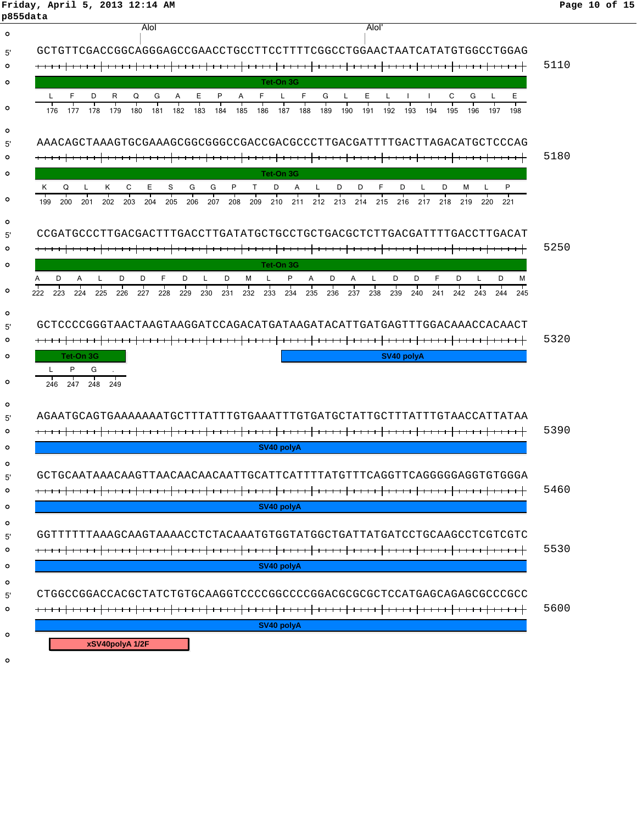**Friday, April 5, 2013 12:14 AM Page 10 of 15**

| p855data           |                                                                                                                                                                                                                                                                                               |      |
|--------------------|-----------------------------------------------------------------------------------------------------------------------------------------------------------------------------------------------------------------------------------------------------------------------------------------------|------|
| $\circ$            | Alol<br><b>Alol</b>                                                                                                                                                                                                                                                                           |      |
| 5'                 | GCTGTTCGACCGGCAGGGAGCCGAACCTGCCTTCCTTTTCGGCCTGGAACTAATCATATGTGGCCTGGAG                                                                                                                                                                                                                        |      |
| $\circ$            |                                                                                                                                                                                                                                                                                               | 5110 |
| $\circ$            | Tet-On 3G                                                                                                                                                                                                                                                                                     |      |
| $\circ$            | F<br>Ε<br>L<br>F<br>D<br>R<br>Ε<br>P<br>G<br>Ε<br>C<br>G<br>Q<br>G<br>A<br>A<br>F<br>L<br>L<br>L<br>176<br>178<br>179<br>180<br>181<br>182<br>183<br>184<br>185<br>186<br>187<br>188<br>190<br>193<br>194<br>195<br>196<br>198<br>177<br>189<br>191<br>192<br>197                             |      |
| $\circ$<br>5'      | AAACAGCTAAAGTGCGAAAGCGGCGGGCCGACCGACGCCCTTGACGATTTTGACTTAGACATGCTCCCAG                                                                                                                                                                                                                        |      |
| $\circ$            |                                                                                                                                                                                                                                                                                               | 5180 |
| $\circ$            | Tet-On 3G<br>C<br>Е<br>S<br>G<br>G<br>F<br>D<br>P<br>Q<br>P<br>T<br>D<br>A<br>D<br>D<br>D<br>L<br>м<br>ĸ<br>L.<br>L                                                                                                                                                                           |      |
| $\circ$            | ĸ.<br>202<br>203<br>205<br>206<br>207<br>213<br>216<br>218<br>219<br>199<br>200<br>204<br>208<br>209<br>210<br>211<br>212<br>214<br>215<br>217<br>220<br>221<br>201                                                                                                                           |      |
| $\circ$<br>5'      |                                                                                                                                                                                                                                                                                               |      |
| $\circ$            |                                                                                                                                                                                                                                                                                               | 5250 |
| $\circ$            | Tet-On 3G                                                                                                                                                                                                                                                                                     |      |
| $\circ$            | F.<br>A<br>F<br>D<br>P<br>A<br>D<br>D<br>D<br>м<br>D<br>L<br>D<br>D<br>L<br>D<br>м<br>L<br>D<br>A<br>L<br>D<br>L<br>A<br>226<br>228<br>229<br>236<br>223<br>224<br>225<br>227<br>230<br>231<br>232<br>233<br>234<br>235<br>237<br>238<br>239<br>240<br>241<br>242<br>243<br>222<br>244<br>245 |      |
| $\circ$<br>5'<br>o | GCTCCCCGGGTAACTAAGTAAGGATCCAGACATGATAAGATACATTGATGAGTTTGGACAAACCACAACT                                                                                                                                                                                                                        | 5320 |
| $\circ$            | Tet-On 3G<br>SV40 polyA                                                                                                                                                                                                                                                                       |      |
| $\circ$            | P<br>G<br>247<br>249<br>246<br>248                                                                                                                                                                                                                                                            |      |
| $\circ$<br>5'      | AGAATGCAGTGAAAAAAATGCTTTATTTGTGAAATTTGTGATGCTATTGCTTTATTTGTAACCATTATAA                                                                                                                                                                                                                        |      |
| $\circ$            |                                                                                                                                                                                                                                                                                               | 5390 |
| $\circ$            | SV40 polyA                                                                                                                                                                                                                                                                                    |      |
| $\circ$            |                                                                                                                                                                                                                                                                                               |      |
|                    | GCTGCAATAAACAAGTTAACAACAACAATTGCATTCATTTTATGTTTCAGGTTCAGGGGGAGGTGTGGGA                                                                                                                                                                                                                        | 5460 |
| $\circ$<br>$\circ$ | SV40 polyA                                                                                                                                                                                                                                                                                    |      |
| $\circ$            |                                                                                                                                                                                                                                                                                               |      |
| 5'                 | GGTTTTTTAAAGCAAGTAAAACCTCTACAAATGTGGTATGGCTGATTATGATCCTGCAAGCCTCGTCGTC                                                                                                                                                                                                                        |      |
| $\circ$            |                                                                                                                                                                                                                                                                                               | 5530 |
| $\circ$            | SV40 polyA                                                                                                                                                                                                                                                                                    |      |
| $\circ$            |                                                                                                                                                                                                                                                                                               |      |
| 5'<br>$\circ$      | CTGGCCGGACCACGCTATCTGTGCAAGGTCCCCGGCCCCGGACGCGCCCCATGAGCAGAGCGCCGCC                                                                                                                                                                                                                           | 5600 |
|                    | SV40 polyA                                                                                                                                                                                                                                                                                    |      |
| $\circ$            | xSV40polyA 1/2F                                                                                                                                                                                                                                                                               |      |
| $\circ$            |                                                                                                                                                                                                                                                                                               |      |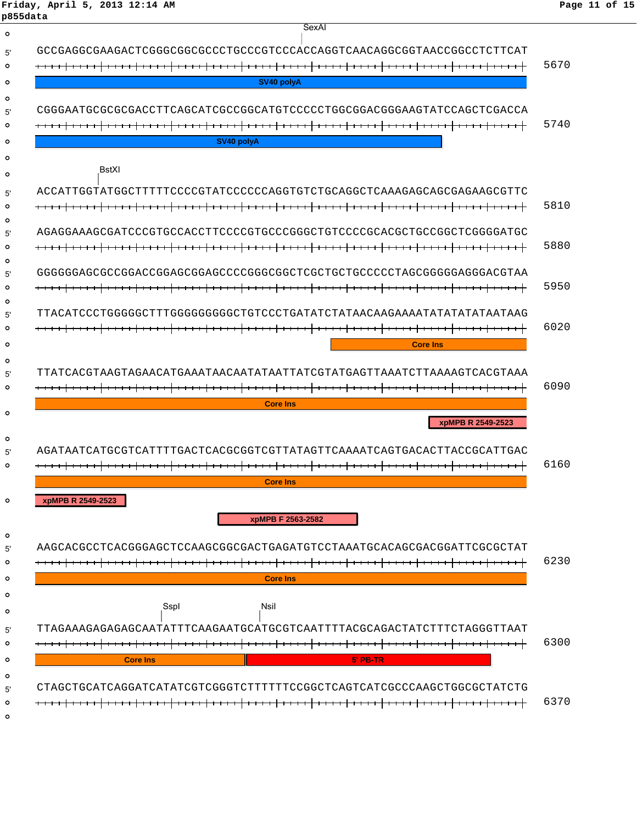**Friday, April 5, 2013 12:14 AM Page 11 of 15 p855data**

| SexAl                                                                  |      |
|------------------------------------------------------------------------|------|
| GCCGAGGCGAAGACTCGGGCGGCGCCCTGCCCGTCCCACCAGGTCAACAGGCGGTAACCGGCCTCTTCAT |      |
|                                                                        | 5670 |
| SV40 polyA                                                             |      |
|                                                                        |      |
|                                                                        | 5740 |
| SV40 polyA                                                             |      |
| BstXI                                                                  |      |
| ACCATTGGTATGCCTTTTTCCCCCGTATCCCCCAGGTGTCTGCAGGCTCAAAGAGCAGCGAGAAGCGTTC |      |
|                                                                        | 5810 |
| AGAGGAAAGCGATCCCGTGCCACTTCCCCGTGCCGGGCTGTCCCGCACGCTGCCGGCTCGGGGATGC    |      |
|                                                                        | 5880 |
|                                                                        |      |
|                                                                        | 5950 |
|                                                                        |      |
|                                                                        | 6020 |
| <b>Core Ins</b>                                                        |      |
|                                                                        |      |
| TTATCACGTAAGTAGAACATGAAATAACAATATAATTATCGTATGAGTTAAATCTTAAAAGTCACGTAAA | 6090 |
| <b>Core Ins</b>                                                        |      |
| xpMPB R 2549-2523                                                      |      |
|                                                                        |      |
| AGATAATCATGCGTCATTTTGACTCACGCGGTCGTTATAGTTCAAAATCAGTGACACTTACCGCATTGAC |      |
|                                                                        | 6160 |
| <b>Core Ins</b>                                                        |      |
| xpMPB R 2549-2523                                                      |      |
| xpMPB F 2563-2582                                                      |      |
| AAGCACGCCTCACGGAGCTCCAAGCGGCGACTGAGATGTCCTAAATGCACAGCGACGGATTCGCGCTAT  |      |
|                                                                        | 6230 |
| <b>Core Ins</b>                                                        |      |
| Nsil<br>Sspl                                                           |      |
| TTAGAAAGAGAGAGCAATATTTCAAGAATGCATGCGTCAATTTTACGCAGACTATCTTTCTAGGGTTAAT |      |
|                                                                        | 6300 |
| <b>Core Ins</b><br>5' PB-TR                                            |      |
|                                                                        |      |
| CTAGCTGCATCAGGATCATATCGTCGGGTCTTTTTTCCGGCTCAGTCATCGCCCAAGCTGGCGCTATCTG | 6370 |
|                                                                        |      |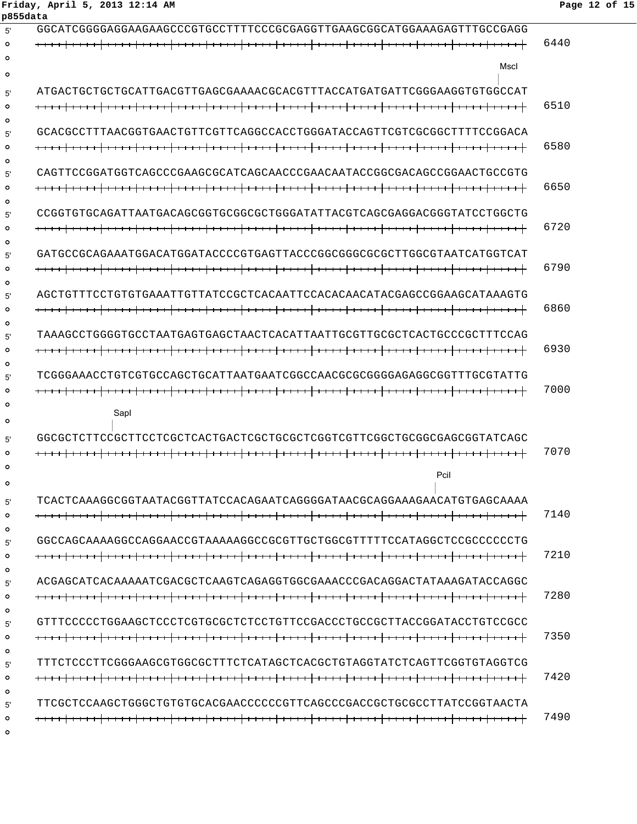#### **p855data** 5' GGCATCGGGGAGGAAGAAGCCCGTGCCTTTTCCCGCGAGGTTGAAGCGGCATGGAAAGAGTTTGCCGAGG 6440 **Mscl** 5' ATGACTGCTGCTGCATTGACGTTGAGCGAAAACGCACGTTTACCATGATGATTCGGGAAGGTGTGGCCAT 6510  $\Omega$ 5' GCACGCCTTTAACGGTGAACTGTTCGTTCAGGCCACCTGGGATACCAGTTCGTCGCGGCTTTTCCGGACA 6580  $\Omega$  $\Omega$ 5' CAGTTCCGGATGGTCAGCCCGAAGCGCATCAGCAACCCGAACAATACCGGCGACAGCCGGAACTGCCGTG 6650  $\Omega$  $\Omega$ 5' CCGGTGTGCAGATTAATGACAGCGGTGCGGCGCTGGGATATTACGTCAGCGAGGACGGGTATCCTGGCTG 6720 5' GATGCCGCAGAAATGGACATGGATACCCCGTGAGTTACCCGGCGGGCGCGCTTGGCGTAATCATGGTCAT 6790  $\circ$  $\circ$ 5' AGCTGTTTCCTGTGTGAAATTGTTATCCGCTCACAATTCCACACAACATACGAGCCGGAAGCATAAAGTG 6860  $\Omega$  $\Omega$ 5' TAAAGCCTGGGGTGCCTAATGAGTGAGCTAACTCACATTAATTGCGTTGCGCTCACTGCCCGCTTTCCAG 6930  $\Omega$  $\Omega$ 5' TCGGGAAACCTGTCGTGCCAGCTGCATTAATGAATCGGCCAACGCGCGGGGAGAGGCGGTTTGCGTATTG 7000  $\circ$ SapI  $\circ$ 5' GGCGCTCTTCCGCTTCCTCGCTCACTGACTCGCTGCGCTCGGTCGTTCGGCTGCGGCGAGCGGTATCAGC 7070  $\circ$ PciI 5' TCACTCAAAGGCGGTAATACGGTTATCCACAGAATCAGGGGATAACGCAGGAAAGAACATGTGAGCAAAA 7140  $\Omega$  $\Omega$ 5' GGCCAGCAAAAGGCCAGGAACCGTAAAAAGGCCGCGTTGCTGGCGTTTTTCCATAGGCTCCGCCCCCCTG 7210  $\circ$  $\circ$ 5' ACGAGCATCACAAAAATCGACGCTCAAGTCAGAGGTGGCGAAACCCGACAGGACTATAAAGATACCAGGC 7280  $\circ$  $\Omega$ 5' GTTTCCCCCTGGAAGCTCCCTCGTGCGCTCTCCTGTTCCGACCCTGCCGCTTACCGGATACCTGTCCGCC 7350  $\circ$  $\circ$ 5' TTTCTCCCTTCGGGAAGCGTGGCGCTTTCTCATAGCTCACGCTGTAGGTATCTCAGTTCGGTGTAGGTCG 7420  $\circ$  $\sim$ 5' TTCGCTCCAAGCTGGGCTGTGTGCACGAACCCCCCGTTCAGCCCGACCGCTGCGCCTTATCCGGTAACTA 7490 $\circ$

 $\Omega$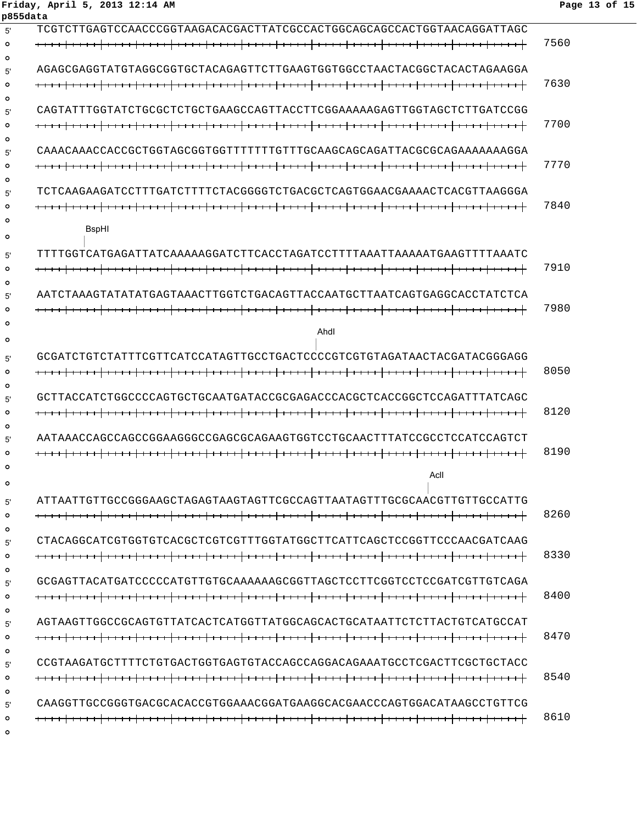### **Friday, April 5, 2013 12:14 AM Page 13 of 15 p855data**

| 5'                 | TCGTTTAAGTAACCCGGTAAGACACGATAATTATTOACCACTGAGACAGCACTGGTAACAGGATTAGC    |      |
|--------------------|-------------------------------------------------------------------------|------|
| $\circ$<br>$\circ$ |                                                                         | 7560 |
| 5'                 | AGAGCGAGGTATGTATGGCGGTGCTACAGAGTTCTTGAAGTGGCTAACTACGCTACACTACACTAGAAGGA |      |
| $\circ$            |                                                                         | 7630 |
| ∩                  |                                                                         |      |
| 5'                 | CAGTATTTGGTATCTGCGCTCTGCTGAAGCCAGTTACCTTCGGAAAAAGAGTTGGTAGCTCTTGATCCGG  |      |
| $\circ$            |                                                                         | 7700 |
| $\circ$            |                                                                         |      |
| 5'                 | CAAACAAACCACCGCTGGTAGCGGTGGTTTTTTTGTTTGCAAGCAGCAGATTACGCGCAGAAAAAAAGGA  |      |
| $\circ$            |                                                                         | 7770 |
| $\circ$            |                                                                         |      |
| 5'                 | TCTCAAGAAGATCCTTTGATCTTTTCTACGGGGTCTGACGCTCAGTGGAACGAAAACTCACGTTAAGGGA  |      |
| $\circ$            |                                                                         | 7840 |
| Ο<br>$\circ$       | <b>B</b> spHI                                                           |      |
| 5'                 | TTTTGGTCATGAGATTATCAAAAAGGATCTTCACCTAGATCCTTTTAAAATTAAAAAGGTTTTAAATG    |      |
| $\circ$            |                                                                         | 7910 |
| $\circ$            |                                                                         |      |
| 5'                 | AATCTAAAGTATATATGAGTAAACTTGGTCTGACAGTTACCAATGCTTAATCAGTGAGGCACCTATCTCA  |      |
| $\circ$            |                                                                         | 7980 |
|                    |                                                                         |      |
| $\circ$            | Ahdl                                                                    |      |
|                    | GCGATCTGTCTATTTCGTTCATCCATAGTTGCCTGACTCCCCGTCGTGTAGATAACTACGATACGGGAGG  |      |
| 5'<br>$\circ$      |                                                                         | 8050 |
| $\circ$            |                                                                         |      |
| 5'                 | GCTTACCATCTGGCCCCAGTGCTGCAATGATACCGCGAGACCCACGCTCACCGGCTCCAGATTTATCAGC  |      |
| $\circ$            |                                                                         | 8120 |
| $\circ$            |                                                                         |      |
| 5'                 |                                                                         |      |
| $\circ$            |                                                                         | 8190 |
| Ο                  |                                                                         |      |
| $\circ$            | Acll                                                                    |      |
| 5'                 | ATTAATTGTTGCCGGGAAGCTAGAGTAAGTAGTTCGCCAGTTAATAGTTTGCGCAACGTTGTTGCCATTG  |      |
| $\circ$            |                                                                         | 8260 |
| $\circ$            |                                                                         |      |
| 5'                 |                                                                         |      |
| $\circ$            |                                                                         | 8330 |
| $\circ$            |                                                                         |      |
| 5'                 | GCGAGTTACATGATCCCCCATGTTGTGCAAAAAAGCGGTTAGCTCCTTCGGTCCTCCGATCGTTGTCAGA  |      |
| $\circ$            |                                                                         | 8400 |
| $\circ$            |                                                                         |      |
| 5'                 |                                                                         |      |
| $\circ$            |                                                                         | 8470 |
| $\circ$            |                                                                         |      |
| 5'                 |                                                                         |      |
| $\circ$            |                                                                         | 8540 |
| $\circ$<br>5'      | CAAGGTTGCCGGGTGACGCACACCGTGGAAACGGATGAAGGCACGAACCCAGTGGACATAAGCCTGTTCG  |      |
| $\circ$            |                                                                         | 8610 |
| $\circ$            |                                                                         |      |
|                    |                                                                         |      |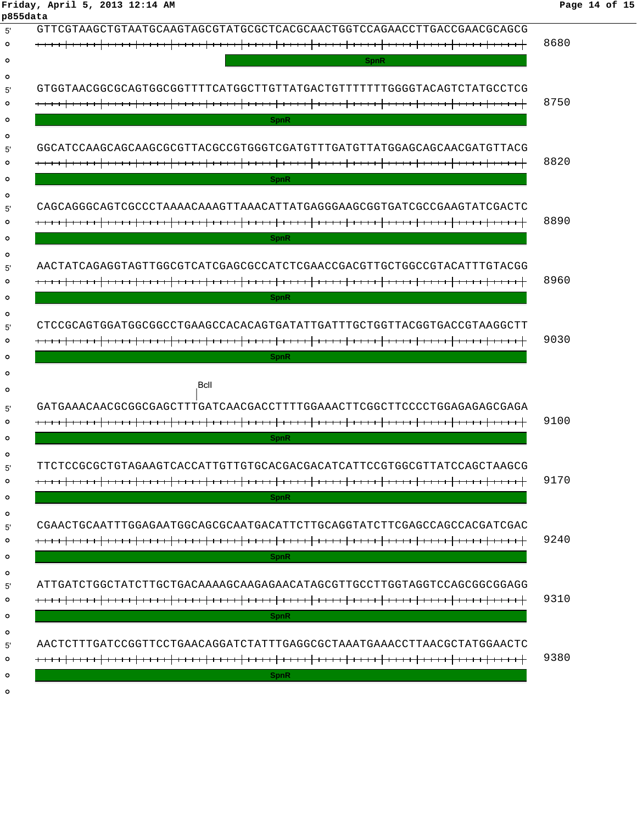| GTTCGTAAGCTGTAATGCAAGTAGCGTATGCGCTCACGCAACTGGTCCAGAACCTTGACCGAACGCAGCG |      |
|------------------------------------------------------------------------|------|
|                                                                        | 8680 |
| <b>SpnR</b>                                                            |      |
|                                                                        |      |
| GTGGTAACGGCGCAGTGGCGGTTTTCATGGCTTGTTATGACTGTTTTTTTGGGGTACAGTCTATGCCTCG |      |
|                                                                        | 8750 |
| <b>SpnR</b>                                                            |      |
| GGCATCCAAGCAGCAAGCGCGTTACGCCGTGGGTCGATGTTTGATGTTATGGAGCAGCAACGATGTTACG |      |
|                                                                        | 8820 |
| <b>SpnR</b>                                                            |      |
|                                                                        |      |
| CAGCAGGGCAGTCGCCCTAAAACAAAGTTAAACATTATGAGGGAAGCGGTGATCGCCGAAGTATCGACTC | 8890 |
| <b>SpnR</b>                                                            |      |
|                                                                        |      |
| AACTATCAGAGGTAGTTGGCGTCATCGAGCGCCATCTCGAACCGACGTTGCTGGCCGTACATTTGTACGG |      |
|                                                                        | 8960 |
| <b>SpnR</b>                                                            |      |
| CTCCGCAGTGGATGGCGGCCTGAAGCCACACAGTGATATTGATTTGCTGGTTACGGTGACCGTAAGGCTT |      |
|                                                                        | 9030 |
| <b>SpnR</b>                                                            |      |
|                                                                        |      |
| <b>Bcll</b>                                                            |      |
| GATGAAACAACGCGGCGAGCTTTGATCAACGACCTTTTGGAAACTTCGGCTTCCCCTGGAGAGAGCGAGA |      |
|                                                                        | 9100 |
| <b>SpnR</b>                                                            |      |
| TTCTCCGCGCTGTAGAAGTCACCATTGTTGTGCACGACGACATCATTCCGTGGCGTTATCCAGCTAAGCG |      |
|                                                                        | 9170 |
| <b>SpnR</b>                                                            |      |
|                                                                        |      |
|                                                                        | 9240 |
| <b>SpnR</b>                                                            |      |
|                                                                        |      |
| ATTGATCTGGCTATCTTGCAGAAAAAGCAAGAAAAADATAGCTTGCCTTGGTAGGTCAGCGGCGAGG    |      |
|                                                                        | 9310 |
| <b>SpnR</b>                                                            |      |
|                                                                        |      |
| AACTCTTTGATCCGGTTCCTGAACAGGATCTATTTGAGGCGCTAAATGAAACCTTAACGCTATGGAACTC |      |